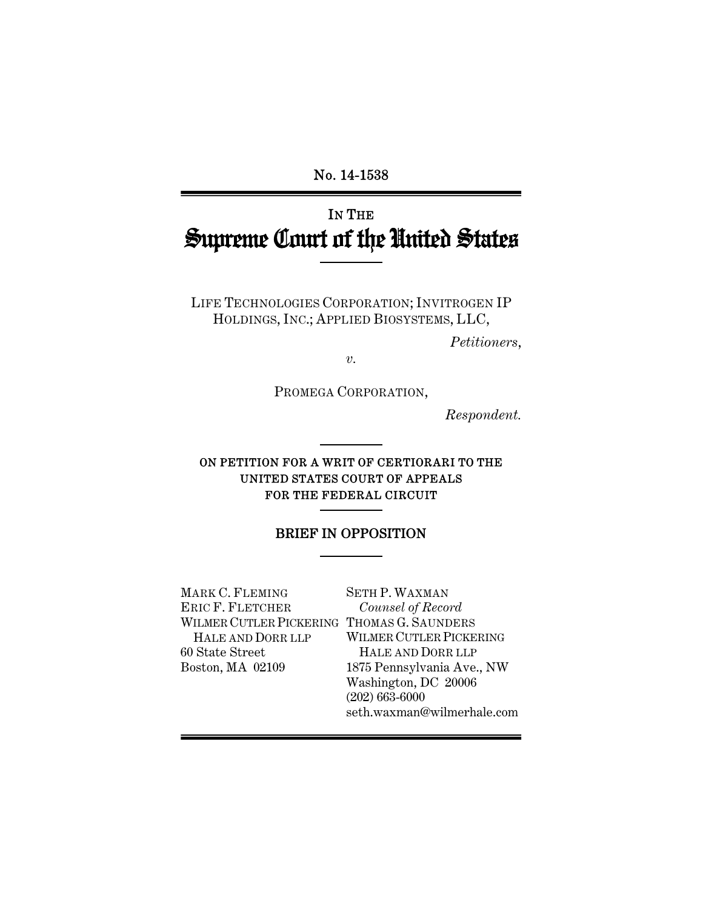No. 14-1538

# IN THE Supreme Court of the United States

LIFE TECHNOLOGIES CORPORATION; INVITROGEN IP HOLDINGS, INC.; APPLIED BIOSYSTEMS, LLC,

*Petitioners*,

*v.* 

PROMEGA CORPORATION,

*Respondent.* 

#### ON PETITION FOR A WRIT OF CERTIORARI TO THE UNITED STATES COURT OF APPEALS FOR THE FEDERAL CIRCUIT

#### BRIEF IN OPPOSITION

MARK C. FLEMING ERIC F. FLETCHER WILMER CUTLER PICKERING THOMAS G. SAUNDERS HALE AND DORR LLP 60 State Street Boston, MA 02109

SETH P. WAXMAN *Counsel of Record* WILMER CUTLER PICKERING HALE AND DORR LLP 1875 Pennsylvania Ave., NW Washington, DC 20006 (202) 663-6000 seth.waxman@wilmerhale.com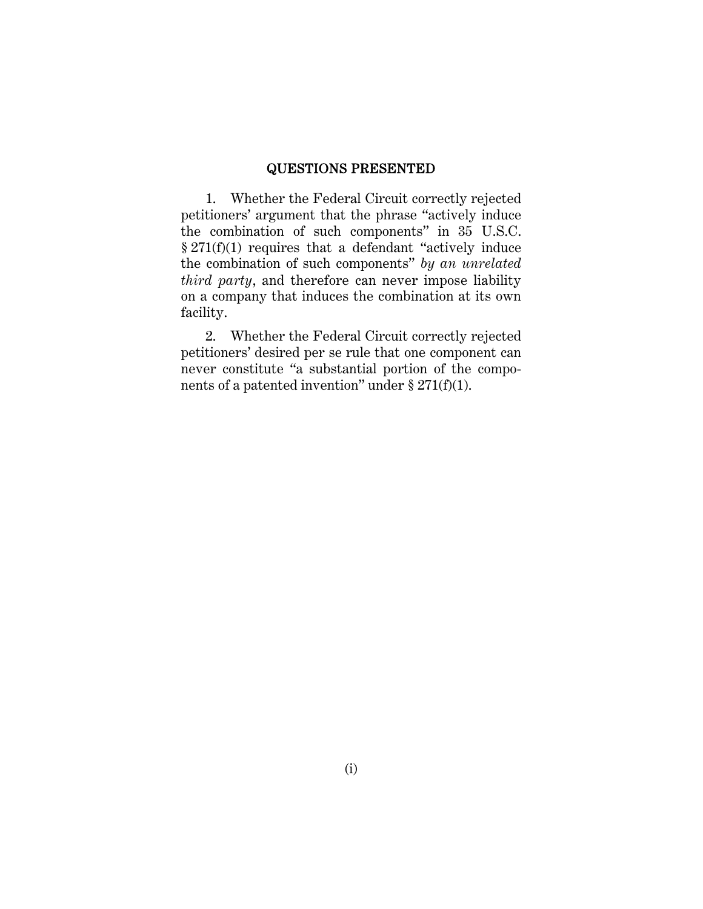#### QUESTIONS PRESENTED

1. Whether the Federal Circuit correctly rejected petitioners' argument that the phrase "actively induce the combination of such components" in 35 U.S.C. § 271(f)(1) requires that a defendant "actively induce the combination of such components" *by an unrelated third party*, and therefore can never impose liability on a company that induces the combination at its own facility.

2. Whether the Federal Circuit correctly rejected petitioners' desired per se rule that one component can never constitute "a substantial portion of the components of a patented invention" under  $\S 271(f)(1)$ .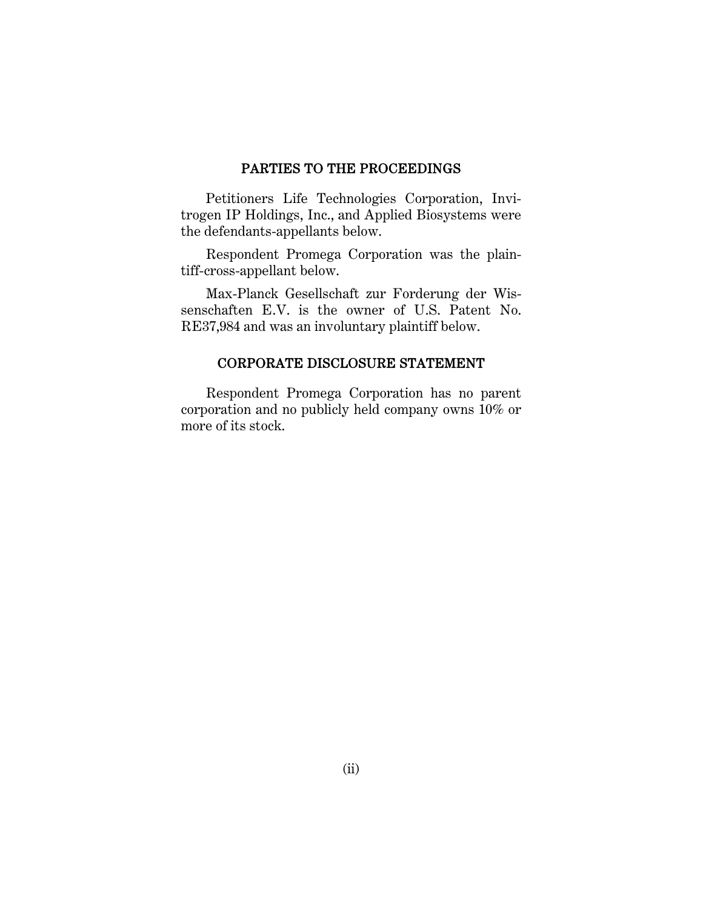#### PARTIES TO THE PROCEEDINGS

Petitioners Life Technologies Corporation, Invitrogen IP Holdings, Inc., and Applied Biosystems were the defendants-appellants below.

Respondent Promega Corporation was the plaintiff-cross-appellant below.

Max-Planck Gesellschaft zur Forderung der Wissenschaften E.V. is the owner of U.S. Patent No. RE37,984 and was an involuntary plaintiff below.

#### CORPORATE DISCLOSURE STATEMENT

Respondent Promega Corporation has no parent corporation and no publicly held company owns 10% or more of its stock.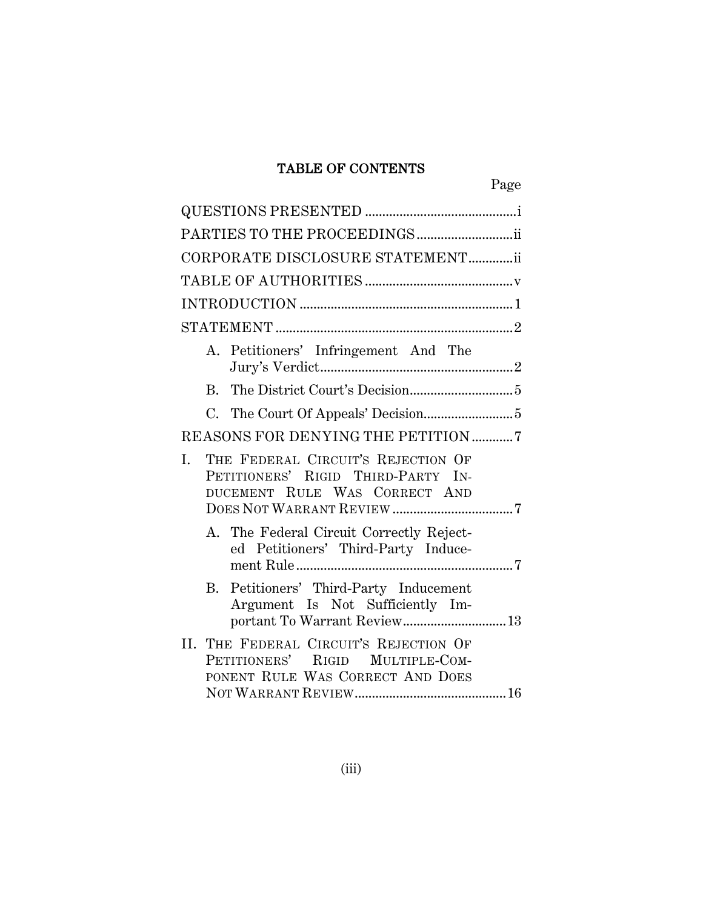# TABLE OF CONTENTS

| PARTIES TO THE PROCEEDINGS                                                                                      |
|-----------------------------------------------------------------------------------------------------------------|
| CORPORATE DISCLOSURE STATEMENTii                                                                                |
|                                                                                                                 |
|                                                                                                                 |
|                                                                                                                 |
| A. Petitioners' Infringement And The                                                                            |
| $\rm R_{\cdot}$                                                                                                 |
|                                                                                                                 |
| REASONS FOR DENYING THE PETITION 7                                                                              |
| L.<br>THE FEDERAL CIRCUIT'S REJECTION OF<br>PETITIONERS' RIGID THIRD-PARTY IN-<br>DUCEMENT RULE WAS CORRECT AND |
| A. The Federal Circuit Correctly Reject-<br>ed Petitioners' Third-Party Induce-                                 |
| B. Petitioners' Third-Party Inducement<br>Argument Is Not Sufficiently Im-<br>portant To Warrant Review 13      |
| II. THE FEDERAL CIRCUIT'S REJECTION OF<br>PETITIONERS' RIGID MULTIPLE-COM-<br>PONENT RULE WAS CORRECT AND DOES  |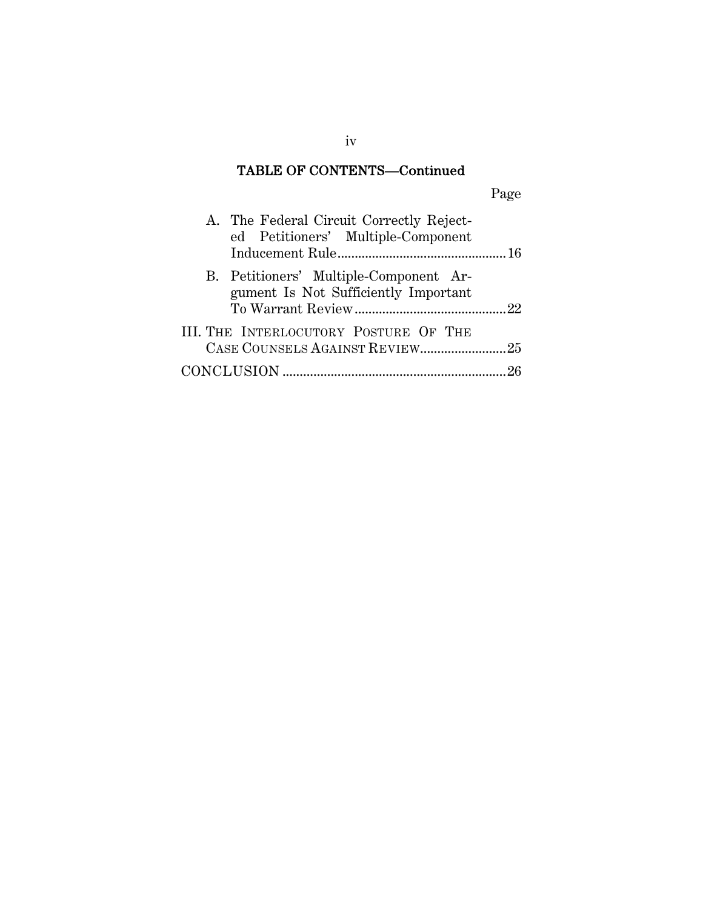# TABLE OF CONTENTS—Continued

| A. The Federal Circuit Correctly Reject-<br>ed Petitioners' Multiple-Component |
|--------------------------------------------------------------------------------|
| B. Petitioners' Multiple-Component Ar-<br>gument Is Not Sufficiently Important |
| III. THE INTERLOCUTORY POSTURE OF THE                                          |
|                                                                                |

iv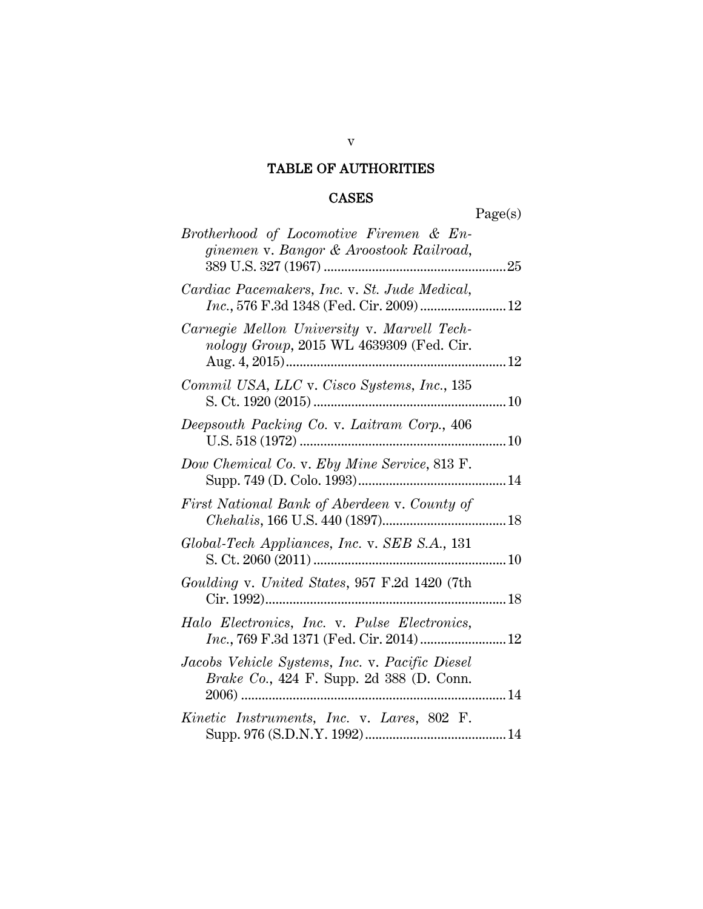# TABLE OF AUTHORITIES

# CASES

Page(s)

| Brotherhood of Locomotive Firemen & En-<br>ginemen v. Bangor & Aroostook Railroad,         |  |
|--------------------------------------------------------------------------------------------|--|
| Cardiac Pacemakers, Inc. v. St. Jude Medical,<br>Inc., 576 F.3d 1348 (Fed. Cir. 2009)  12  |  |
| Carnegie Mellon University v. Marvell Tech-<br>nology Group, 2015 WL 4639309 (Fed. Cir.    |  |
| Commil USA, LLC v. Cisco Systems, Inc., 135                                                |  |
| Deepsouth Packing Co. v. Laitram Corp., 406                                                |  |
| Dow Chemical Co. v. Eby Mine Service, 813 F.                                               |  |
| First National Bank of Aberdeen v. County of                                               |  |
| Global-Tech Appliances, Inc. v. SEB S.A., 131                                              |  |
| Goulding v. United States, 957 F.2d 1420 (7th                                              |  |
| Halo Electronics, Inc. v. Pulse Electronics,<br>Inc., 769 F.3d 1371 (Fed. Cir. 2014) 12    |  |
| Jacobs Vehicle Systems, Inc. v. Pacific Diesel<br>Brake Co., 424 F. Supp. 2d 388 (D. Conn. |  |
| Kinetic Instruments, Inc. v. Lares, 802 F.                                                 |  |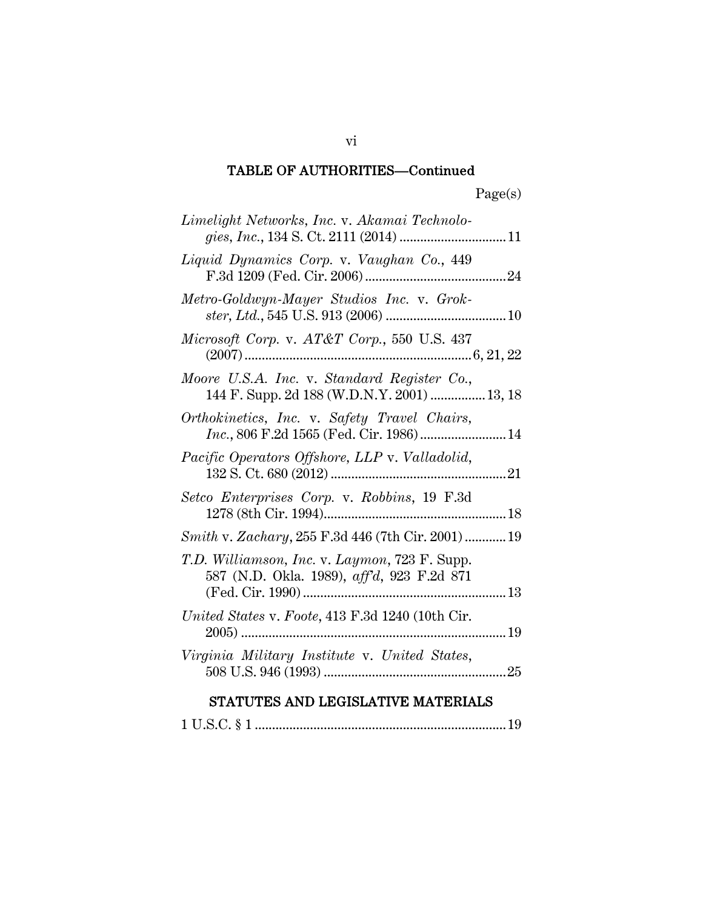### TABLE OF AUTHORITIES—Continued

| Limelight Networks, Inc. v. Akamai Technolo-                                                                    |
|-----------------------------------------------------------------------------------------------------------------|
| Liquid Dynamics Corp. v. Vaughan Co., 449                                                                       |
| Metro-Goldwyn-Mayer Studios Inc. v. Grok-                                                                       |
| Microsoft Corp. v. AT&T Corp., 550 U.S. 437                                                                     |
| Moore U.S.A. Inc. v. Standard Register Co.,<br>144 F. Supp. 2d 188 (W.D.N.Y. 2001)  13, 18                      |
| Orthokinetics, Inc. v. Safety Travel Chairs,<br>Inc., 806 F.2d 1565 (Fed. Cir. 1986) 14                         |
| Pacific Operators Offshore, LLP v. Valladolid,                                                                  |
| Setco Enterprises Corp. v. Robbins, 19 F.3d                                                                     |
| Smith v. Zachary, 255 F.3d 446 (7th Cir. 2001)  19                                                              |
| T.D. Williamson, Inc. v. Laymon, 723 F. Supp.<br>587 (N.D. Okla. 1989), aff'd, 923 F.2d 871<br>(Fed. Cir. 1990) |
| United States v. Foote, 413 F.3d 1240 (10th Cir.                                                                |
| Virginia Military Institute v. United States,                                                                   |
| , mara mara<br>a e a essent<br>.<br>$-$                                                                         |

# STATUTES AND LEGISLATIVE MATERIALS

1 U.S.C. § 1 ......................................................................... 19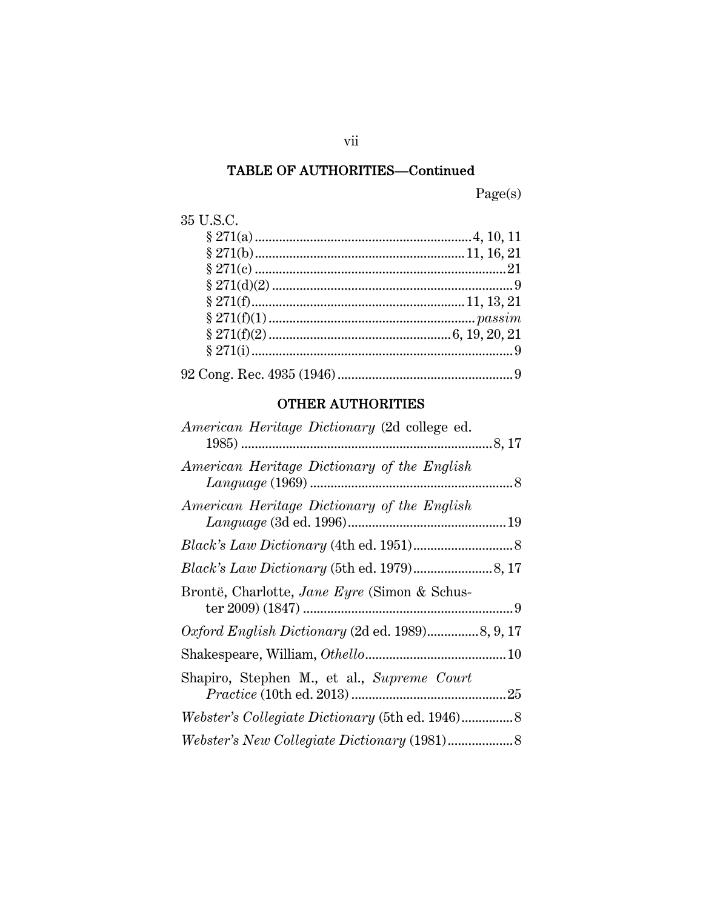# TABLE OF AUTHORITIES—Continued

Page(s)

| 35 U.S.C. |  |
|-----------|--|
|           |  |
|           |  |
|           |  |
|           |  |
|           |  |
|           |  |
|           |  |
|           |  |
|           |  |

# OTHER AUTHORITIES

| American Heritage Dictionary (2d college ed. |  |
|----------------------------------------------|--|
| American Heritage Dictionary of the English  |  |
| American Heritage Dictionary of the English  |  |
|                                              |  |
|                                              |  |
| Brontë, Charlotte, Jane Eyre (Simon & Schus- |  |
|                                              |  |
|                                              |  |
| Shapiro, Stephen M., et al., Supreme Court   |  |
|                                              |  |
|                                              |  |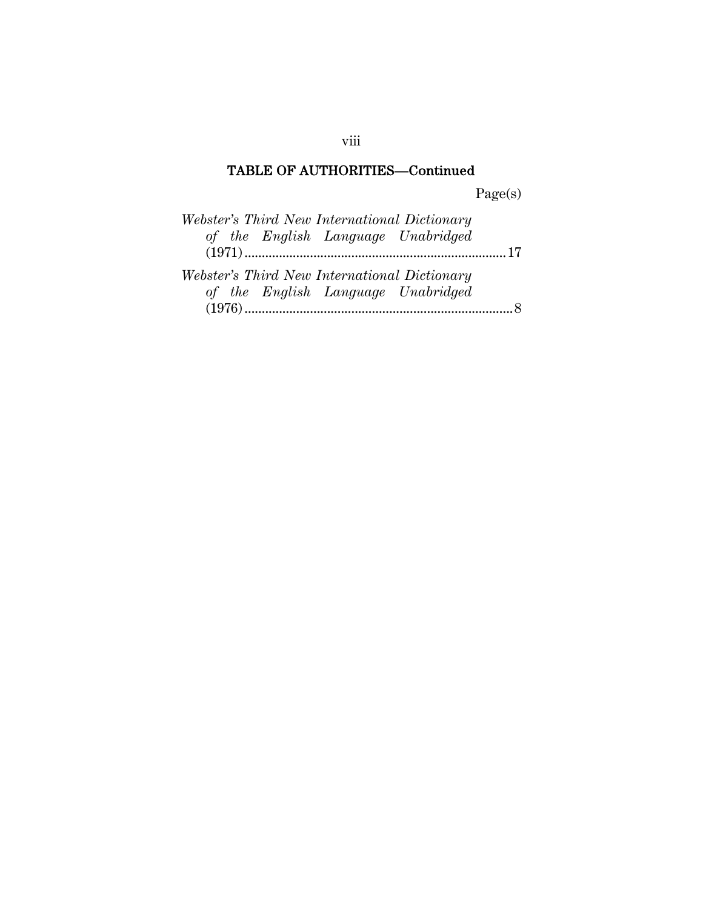# TABLE OF AUTHORITIES—Continued

Page(s)

| Webster's Third New International Dictionary |  |
|----------------------------------------------|--|
| of the English Language Unabridged           |  |
|                                              |  |
| Webster's Third New International Dictionary |  |
| of the English Language Unabridged           |  |
|                                              |  |

viii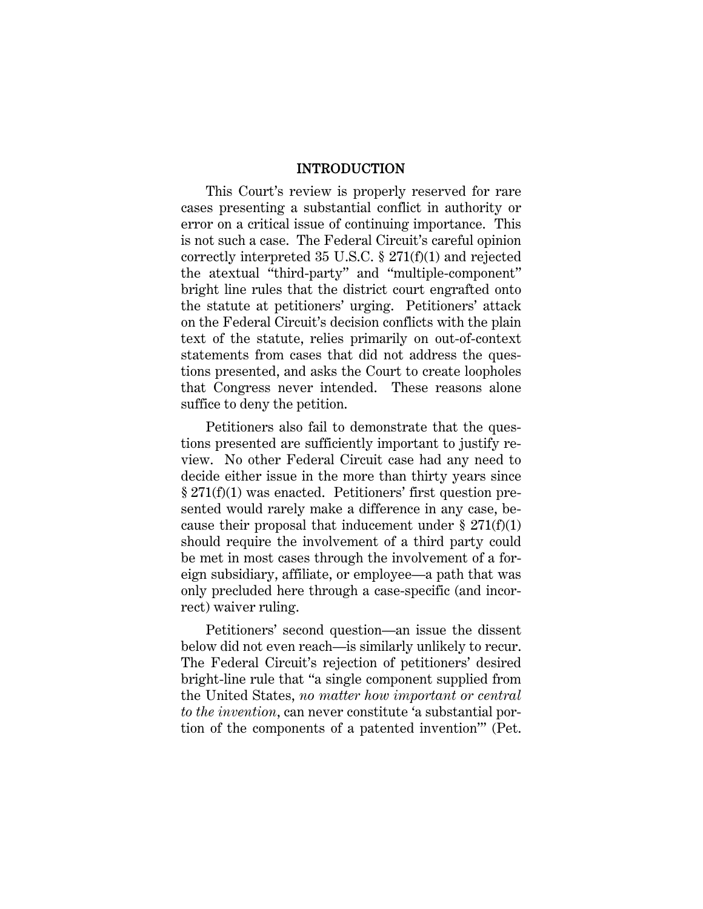#### INTRODUCTION

This Court's review is properly reserved for rare cases presenting a substantial conflict in authority or error on a critical issue of continuing importance. This is not such a case. The Federal Circuit's careful opinion correctly interpreted 35 U.S.C. § 271(f)(1) and rejected the atextual "third-party" and "multiple-component" bright line rules that the district court engrafted onto the statute at petitioners' urging. Petitioners' attack on the Federal Circuit's decision conflicts with the plain text of the statute, relies primarily on out-of-context statements from cases that did not address the questions presented, and asks the Court to create loopholes that Congress never intended. These reasons alone suffice to deny the petition.

Petitioners also fail to demonstrate that the questions presented are sufficiently important to justify review. No other Federal Circuit case had any need to decide either issue in the more than thirty years since § 271(f)(1) was enacted. Petitioners' first question presented would rarely make a difference in any case, because their proposal that inducement under  $\S 271(f)(1)$ should require the involvement of a third party could be met in most cases through the involvement of a foreign subsidiary, affiliate, or employee—a path that was only precluded here through a case-specific (and incorrect) waiver ruling.

Petitioners' second question—an issue the dissent below did not even reach—is similarly unlikely to recur. The Federal Circuit's rejection of petitioners' desired bright-line rule that "a single component supplied from the United States, *no matter how important or central to the invention*, can never constitute 'a substantial portion of the components of a patented invention'" (Pet.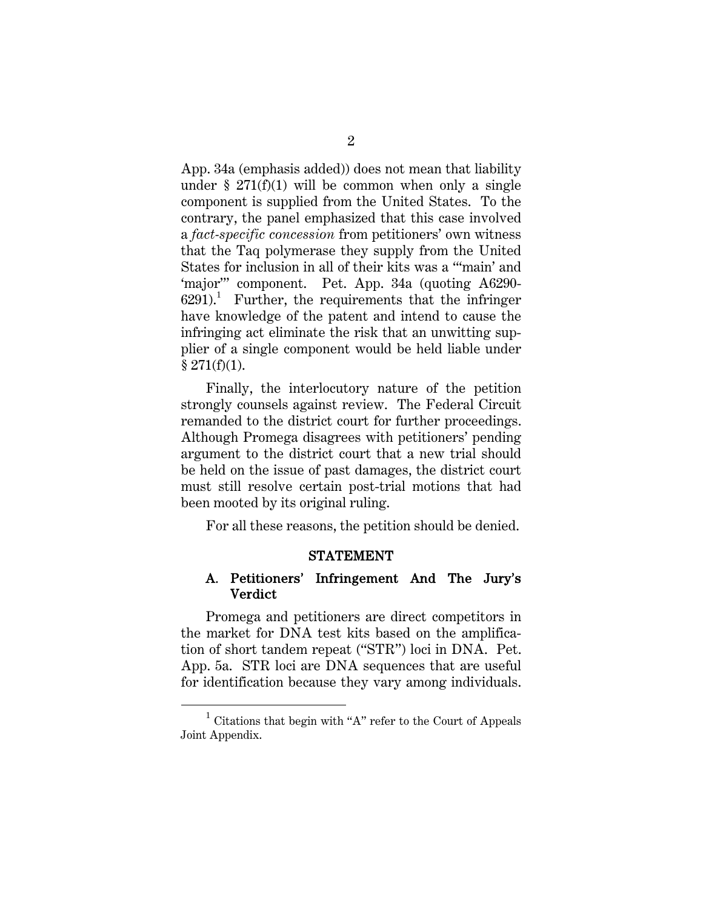App. 34a (emphasis added)) does not mean that liability under  $\S 271(f)(1)$  will be common when only a single component is supplied from the United States. To the contrary, the panel emphasized that this case involved a *fact-specific concession* from petitioners' own witness that the Taq polymerase they supply from the United States for inclusion in all of their kits was a "'main' and 'major'" component. Pet. App. 34a (quoting A6290-  $6291$ ).<sup>1</sup> Further, the requirements that the infringer have knowledge of the patent and intend to cause the infringing act eliminate the risk that an unwitting supplier of a single component would be held liable under  $§$  271(f)(1).

Finally, the interlocutory nature of the petition strongly counsels against review. The Federal Circuit remanded to the district court for further proceedings. Although Promega disagrees with petitioners' pending argument to the district court that a new trial should be held on the issue of past damages, the district court must still resolve certain post-trial motions that had been mooted by its original ruling.

For all these reasons, the petition should be denied.

#### STATEMENT

#### A. Petitioners' Infringement And The Jury's **Verdict**

Promega and petitioners are direct competitors in the market for DNA test kits based on the amplification of short tandem repeat ("STR") loci in DNA. Pet. App. 5a. STR loci are DNA sequences that are useful for identification because they vary among individuals.

<sup>1</sup>  $1$  Citations that begin with "A" refer to the Court of Appeals Joint Appendix.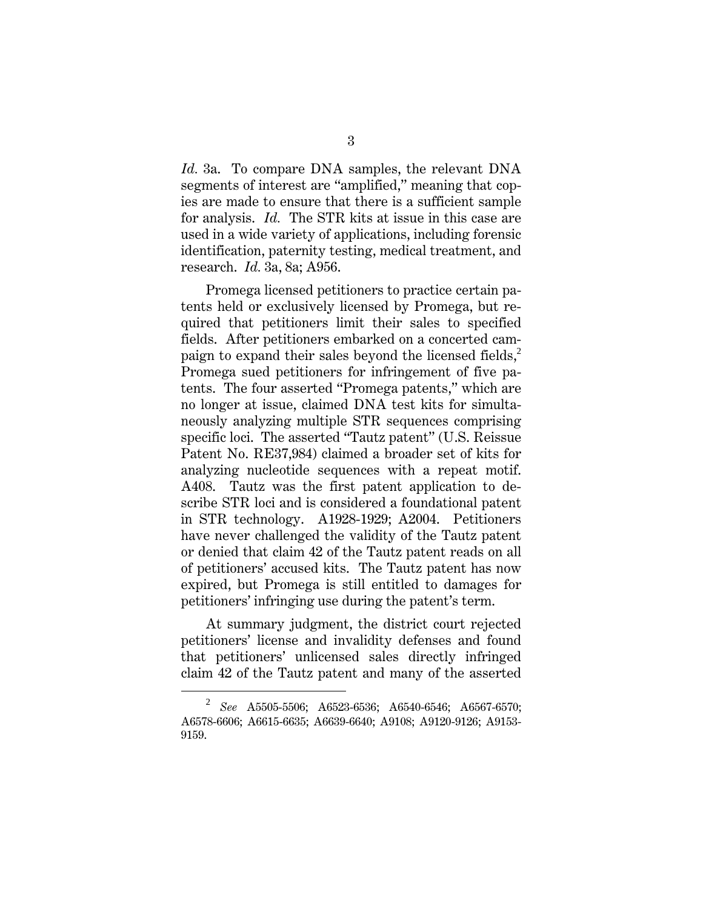*Id.* 3a. To compare DNA samples, the relevant DNA segments of interest are "amplified," meaning that copies are made to ensure that there is a sufficient sample for analysis. *Id.* The STR kits at issue in this case are used in a wide variety of applications, including forensic identification, paternity testing, medical treatment, and research. *Id.* 3a, 8a; A956.

Promega licensed petitioners to practice certain patents held or exclusively licensed by Promega, but required that petitioners limit their sales to specified fields. After petitioners embarked on a concerted campaign to expand their sales beyond the licensed fields, $\frac{2}{3}$ Promega sued petitioners for infringement of five patents. The four asserted "Promega patents," which are no longer at issue, claimed DNA test kits for simultaneously analyzing multiple STR sequences comprising specific loci. The asserted "Tautz patent" (U.S. Reissue Patent No. RE37,984) claimed a broader set of kits for analyzing nucleotide sequences with a repeat motif. A408. Tautz was the first patent application to describe STR loci and is considered a foundational patent in STR technology. A1928-1929; A2004. Petitioners have never challenged the validity of the Tautz patent or denied that claim 42 of the Tautz patent reads on all of petitioners' accused kits. The Tautz patent has now expired, but Promega is still entitled to damages for petitioners' infringing use during the patent's term.

At summary judgment, the district court rejected petitioners' license and invalidity defenses and found that petitioners' unlicensed sales directly infringed claim 42 of the Tautz patent and many of the asserted

<sup>2</sup> *See* A5505-5506; A6523-6536; A6540-6546; A6567-6570; A6578-6606; A6615-6635; A6639-6640; A9108; A9120-9126; A9153- 9159.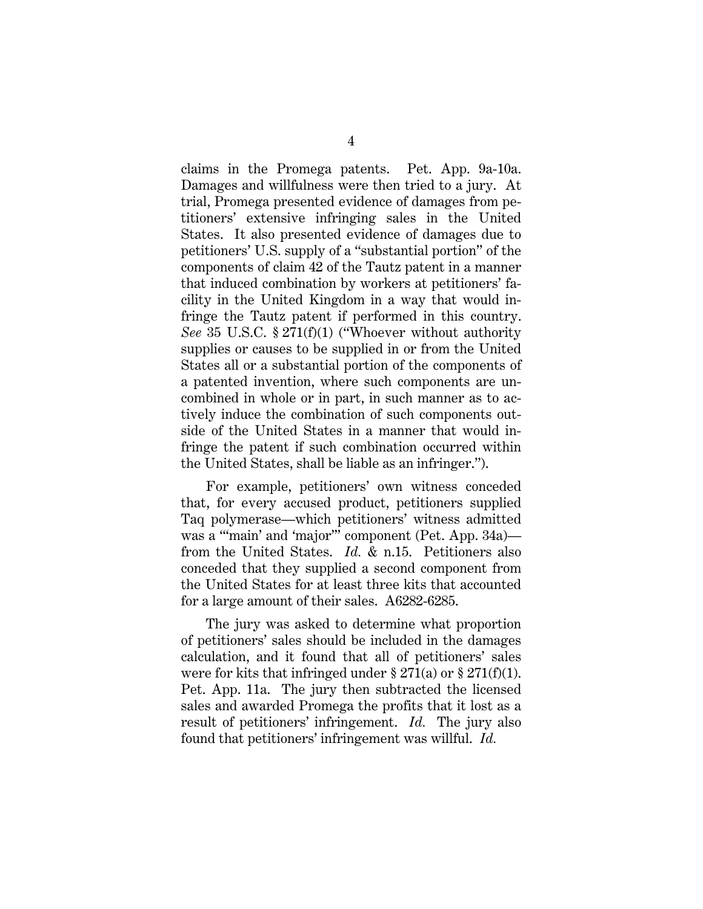claims in the Promega patents. Pet. App. 9a-10a. Damages and willfulness were then tried to a jury. At trial, Promega presented evidence of damages from petitioners' extensive infringing sales in the United States. It also presented evidence of damages due to petitioners' U.S. supply of a "substantial portion" of the components of claim 42 of the Tautz patent in a manner that induced combination by workers at petitioners' facility in the United Kingdom in a way that would infringe the Tautz patent if performed in this country. *See* 35 U.S.C. § 271(f)(1) ("Whoever without authority supplies or causes to be supplied in or from the United States all or a substantial portion of the components of a patented invention, where such components are uncombined in whole or in part, in such manner as to actively induce the combination of such components outside of the United States in a manner that would infringe the patent if such combination occurred within the United States, shall be liable as an infringer.").

For example, petitioners' own witness conceded that, for every accused product, petitioners supplied Taq polymerase—which petitioners' witness admitted was a "'main' and 'major'" component (Pet. App. 34a) from the United States. *Id.* & n.15. Petitioners also conceded that they supplied a second component from the United States for at least three kits that accounted for a large amount of their sales. A6282-6285.

The jury was asked to determine what proportion of petitioners' sales should be included in the damages calculation, and it found that all of petitioners' sales were for kits that infringed under  $\S 271(a)$  or  $\S 271(f)(1)$ . Pet. App. 11a. The jury then subtracted the licensed sales and awarded Promega the profits that it lost as a result of petitioners' infringement. *Id.* The jury also found that petitioners' infringement was willful. *Id.*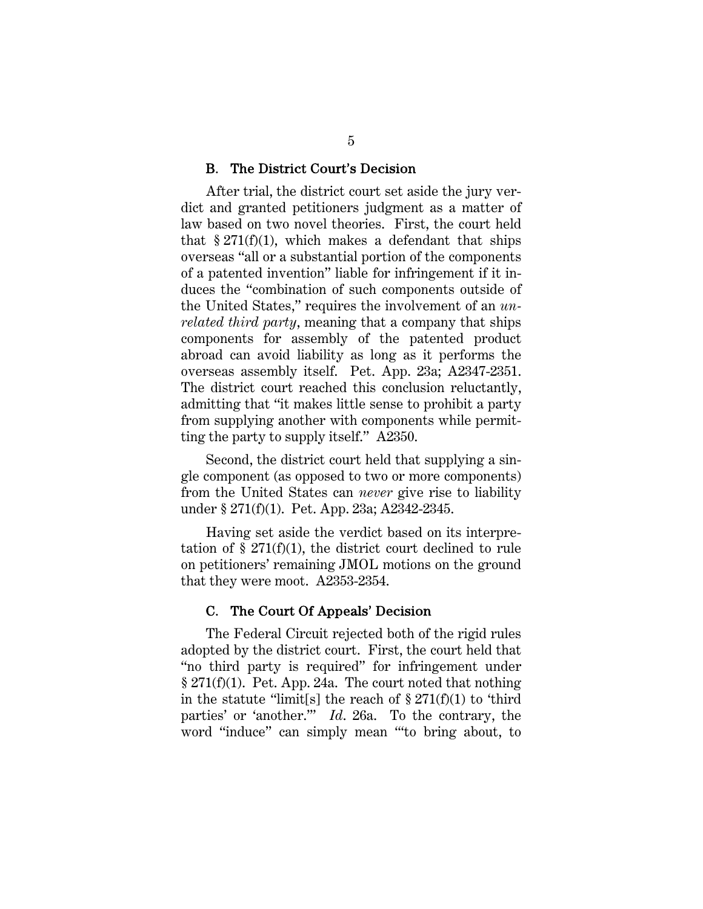#### B. The District Court's Decision

After trial, the district court set aside the jury verdict and granted petitioners judgment as a matter of law based on two novel theories. First, the court held that  $\S 271(f)(1)$ , which makes a defendant that ships overseas "all or a substantial portion of the components of a patented invention" liable for infringement if it induces the "combination of such components outside of the United States," requires the involvement of an *unrelated third party*, meaning that a company that ships components for assembly of the patented product abroad can avoid liability as long as it performs the overseas assembly itself. Pet. App. 23a; A2347-2351. The district court reached this conclusion reluctantly, admitting that "it makes little sense to prohibit a party from supplying another with components while permitting the party to supply itself." A2350.

Second, the district court held that supplying a single component (as opposed to two or more components) from the United States can *never* give rise to liability under § 271(f)(1). Pet. App. 23a; A2342-2345.

Having set aside the verdict based on its interpretation of  $\S 271(f)(1)$ , the district court declined to rule on petitioners' remaining JMOL motions on the ground that they were moot. A2353-2354.

#### C. The Court Of Appeals' Decision

The Federal Circuit rejected both of the rigid rules adopted by the district court. First, the court held that "no third party is required" for infringement under § 271(f)(1). Pet. App. 24a. The court noted that nothing in the statute "limit[s] the reach of  $\S 271(f)(1)$  to 'third parties' or 'another.'" *Id*. 26a. To the contrary, the word "induce" can simply mean "'to bring about, to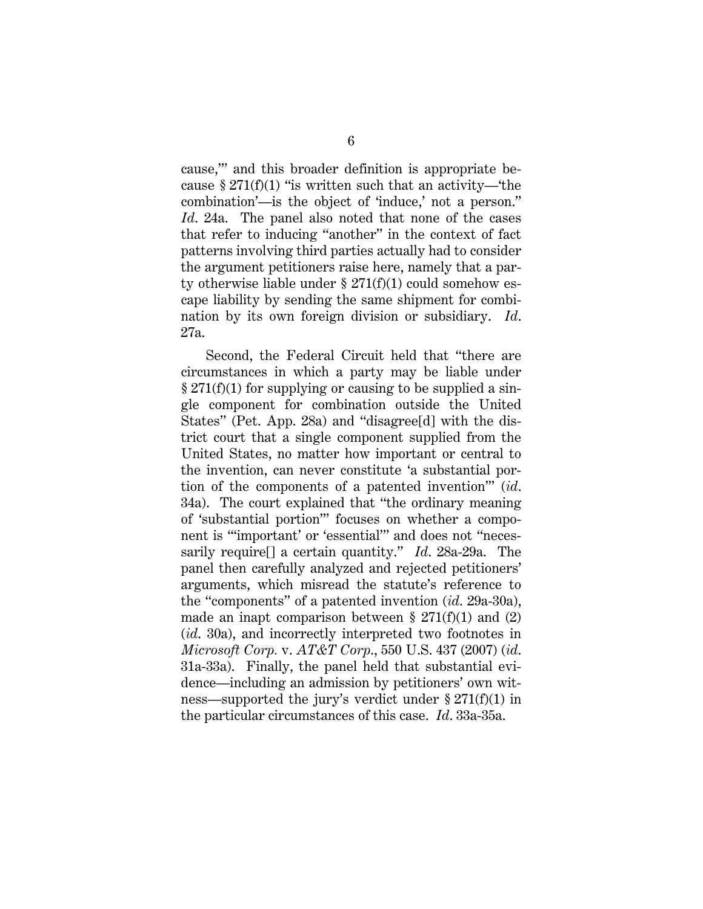cause,'" and this broader definition is appropriate because § 271(f)(1) "is written such that an activity—the combination'—is the object of 'induce,' not a person." *Id*. 24a. The panel also noted that none of the cases that refer to inducing "another" in the context of fact patterns involving third parties actually had to consider the argument petitioners raise here, namely that a party otherwise liable under  $\S 271(f)(1)$  could somehow escape liability by sending the same shipment for combination by its own foreign division or subsidiary. *Id*. 27a.

Second, the Federal Circuit held that "there are circumstances in which a party may be liable under § 271(f)(1) for supplying or causing to be supplied a single component for combination outside the United States" (Pet. App. 28a) and "disagree[d] with the district court that a single component supplied from the United States, no matter how important or central to the invention, can never constitute 'a substantial portion of the components of a patented invention'" (*id*. 34a). The court explained that "the ordinary meaning of 'substantial portion'" focuses on whether a component is "'important' or 'essential'" and does not "necessarily require[] a certain quantity." *Id*. 28a-29a. The panel then carefully analyzed and rejected petitioners' arguments, which misread the statute's reference to the "components" of a patented invention (*id*. 29a-30a), made an inapt comparison between  $\S 271(f)(1)$  and  $(2)$ (*id*. 30a), and incorrectly interpreted two footnotes in *Microsoft Corp.* v. *AT&T Corp*., 550 U.S. 437 (2007) (*id*. 31a-33a). Finally, the panel held that substantial evidence—including an admission by petitioners' own witness—supported the jury's verdict under § 271(f)(1) in the particular circumstances of this case. *Id*. 33a-35a.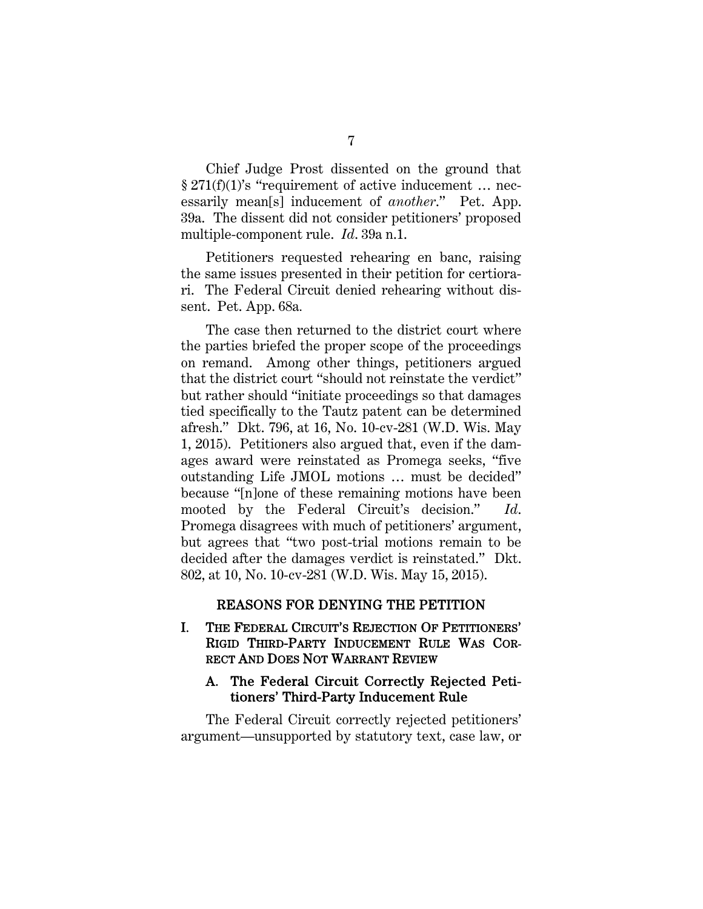Chief Judge Prost dissented on the ground that § 271(f)(1)'s "requirement of active inducement … necessarily mean[s] inducement of *another*." Pet. App. 39a. The dissent did not consider petitioners' proposed multiple-component rule. *Id*. 39a n.1.

Petitioners requested rehearing en banc, raising the same issues presented in their petition for certiorari. The Federal Circuit denied rehearing without dissent. Pet. App. 68a*.*

The case then returned to the district court where the parties briefed the proper scope of the proceedings on remand. Among other things, petitioners argued that the district court "should not reinstate the verdict" but rather should "initiate proceedings so that damages tied specifically to the Tautz patent can be determined afresh." Dkt. 796, at 16, No. 10-cv-281 (W.D. Wis. May 1, 2015). Petitioners also argued that, even if the damages award were reinstated as Promega seeks, "five outstanding Life JMOL motions … must be decided" because "[n]one of these remaining motions have been mooted by the Federal Circuit's decision." *Id*. Promega disagrees with much of petitioners' argument, but agrees that "two post-trial motions remain to be decided after the damages verdict is reinstated." Dkt. 802, at 10, No. 10-cv-281 (W.D. Wis. May 15, 2015).

#### REASONS FOR DENYING THE PETITION

#### I. THE FEDERAL CIRCUIT'S REJECTION OF PETITIONERS' RIGID THIRD-PARTY INDUCEMENT RULE WAS COR-RECT AND DOES NOT WARRANT REVIEW

#### A. The Federal Circuit Correctly Rejected Petitioners' Third-Party Inducement Rule

The Federal Circuit correctly rejected petitioners' argument—unsupported by statutory text, case law, or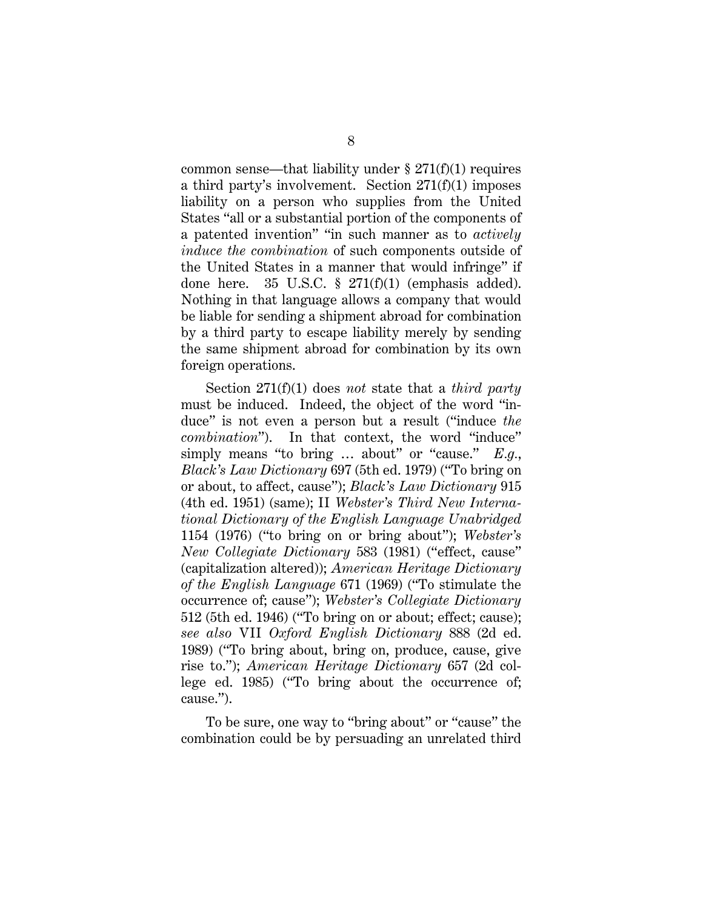common sense—that liability under  $\S 271(f)(1)$  requires a third party's involvement. Section 271(f)(1) imposes liability on a person who supplies from the United States "all or a substantial portion of the components of a patented invention" "in such manner as to *actively induce the combination* of such components outside of the United States in a manner that would infringe" if done here. 35 U.S.C. § 271(f)(1) (emphasis added). Nothing in that language allows a company that would be liable for sending a shipment abroad for combination by a third party to escape liability merely by sending the same shipment abroad for combination by its own foreign operations.

Section 271(f)(1) does *not* state that a *third party* must be induced. Indeed, the object of the word "induce" is not even a person but a result ("induce *the combination*"). In that context, the word "induce" simply means "to bring … about" or "cause." *E.g.*, *Black's Law Dictionary* 697 (5th ed. 1979) ("To bring on or about, to affect, cause"); *Black's Law Dictionary* 915 (4th ed. 1951) (same); II *Webster's Third New International Dictionary of the English Language Unabridged* 1154 (1976) ("to bring on or bring about"); *Webster's New Collegiate Dictionary* 583 (1981) ("effect, cause" (capitalization altered)); *American Heritage Dictionary of the English Language* 671 (1969) ("To stimulate the occurrence of; cause"); *Webster's Collegiate Dictionary* 512 (5th ed. 1946) ("To bring on or about; effect; cause); *see also* VII *Oxford English Dictionary* 888 (2d ed. 1989) ("To bring about, bring on, produce, cause, give rise to."); *American Heritage Dictionary* 657 (2d college ed. 1985) ("To bring about the occurrence of; cause.").

To be sure, one way to "bring about" or "cause" the combination could be by persuading an unrelated third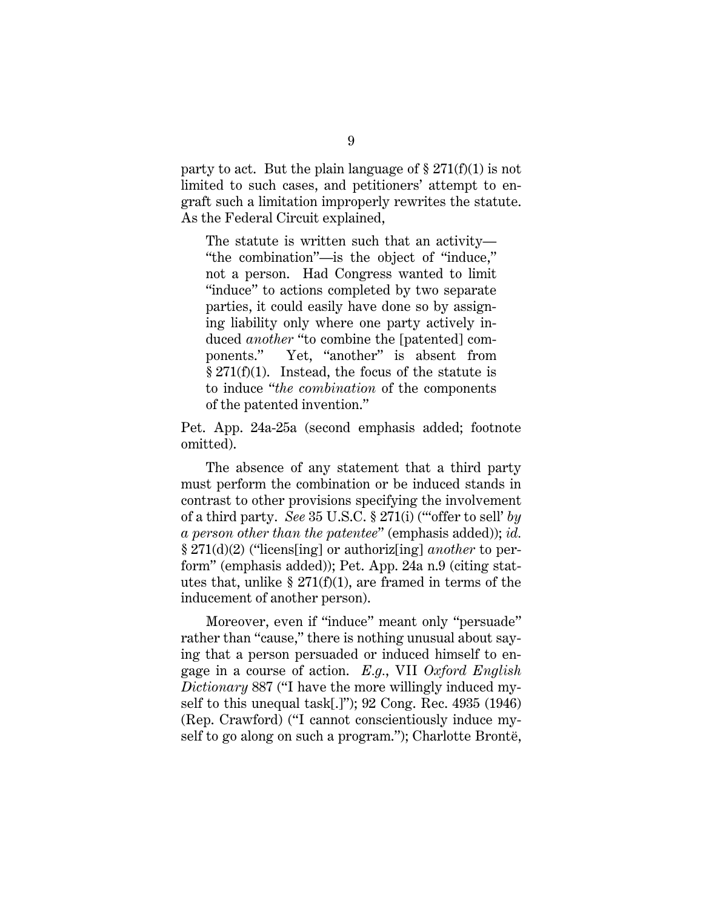party to act. But the plain language of  $\S 271(f)(1)$  is not limited to such cases, and petitioners' attempt to engraft such a limitation improperly rewrites the statute. As the Federal Circuit explained,

The statute is written such that an activity— "the combination"—is the object of "induce," not a person. Had Congress wanted to limit "induce" to actions completed by two separate parties, it could easily have done so by assigning liability only where one party actively induced *another* "to combine the [patented] components." Yet, "another" is absent from  $§ 271(f)(1).$  Instead, the focus of the statute is to induce "*the combination* of the components of the patented invention."

Pet. App. 24a-25a (second emphasis added; footnote omitted).

The absence of any statement that a third party must perform the combination or be induced stands in contrast to other provisions specifying the involvement of a third party. *See* 35 U.S.C. § 271(i) ("'offer to sell' *by a person other than the patentee*" (emphasis added)); *id.* § 271(d)(2) ("licens[ing] or authoriz[ing] *another* to perform" (emphasis added)); Pet. App. 24a n.9 (citing statutes that, unlike  $\S 271(f)(1)$ , are framed in terms of the inducement of another person).

Moreover, even if "induce" meant only "persuade" rather than "cause," there is nothing unusual about saying that a person persuaded or induced himself to engage in a course of action. *E.g.*, VII *Oxford English Dictionary* 887 ("I have the more willingly induced myself to this unequal task[.]"); 92 Cong. Rec. 4935 (1946) (Rep. Crawford) ("I cannot conscientiously induce myself to go along on such a program."); Charlotte Brontë,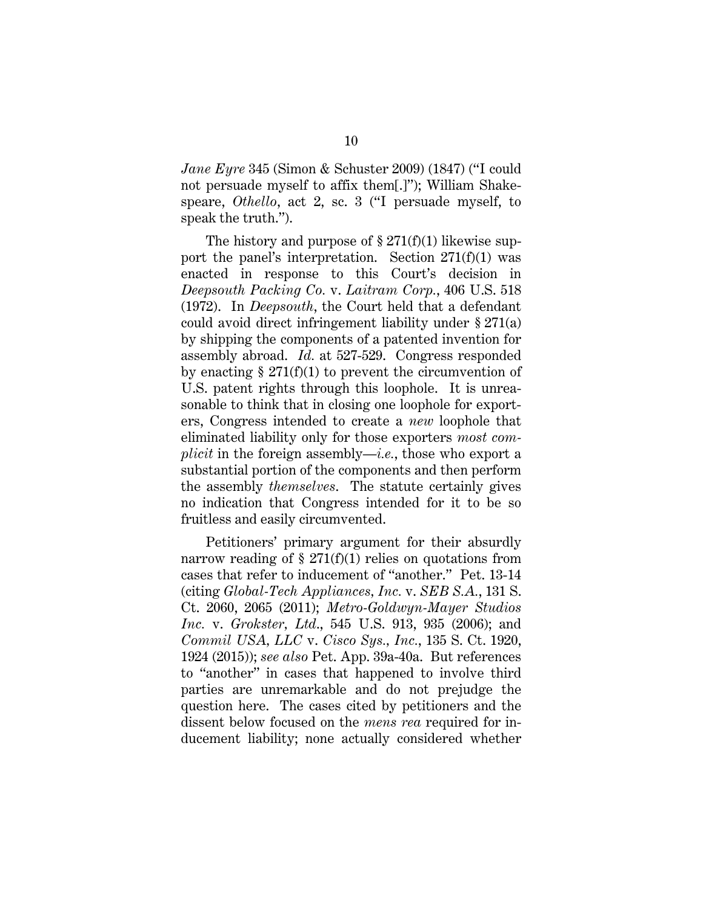*Jane Eyre* 345 (Simon & Schuster 2009) (1847) ("I could not persuade myself to affix them[.]"); William Shakespeare, *Othello*, act 2, sc. 3 ("I persuade myself, to speak the truth.").

The history and purpose of  $\S 271(f)(1)$  likewise support the panel's interpretation. Section  $271(f)(1)$  was enacted in response to this Court's decision in *Deepsouth Packing Co.* v. *Laitram Corp.*, 406 U.S. 518 (1972). In *Deepsouth*, the Court held that a defendant could avoid direct infringement liability under § 271(a) by shipping the components of a patented invention for assembly abroad. *Id.* at 527-529. Congress responded by enacting  $\S 271(f)(1)$  to prevent the circumvention of U.S. patent rights through this loophole. It is unreasonable to think that in closing one loophole for exporters, Congress intended to create a *new* loophole that eliminated liability only for those exporters *most complicit* in the foreign assembly—*i.e.*, those who export a substantial portion of the components and then perform the assembly *themselves*. The statute certainly gives no indication that Congress intended for it to be so fruitless and easily circumvented.

Petitioners' primary argument for their absurdly narrow reading of  $\S 271(f)(1)$  relies on quotations from cases that refer to inducement of "another." Pet. 13-14 (citing *Global-Tech Appliances, Inc.* v. *SEB S.A.*, 131 S. Ct. 2060, 2065 (2011); *Metro-Goldwyn-Mayer Studios Inc.* v. *Grokster, Ltd*., 545 U.S. 913, 935 (2006); and *Commil USA, LLC* v. *Cisco Sys., Inc.*, 135 S. Ct. 1920, 1924 (2015)); *see also* Pet. App. 39a-40a. But references to "another" in cases that happened to involve third parties are unremarkable and do not prejudge the question here. The cases cited by petitioners and the dissent below focused on the *mens rea* required for inducement liability; none actually considered whether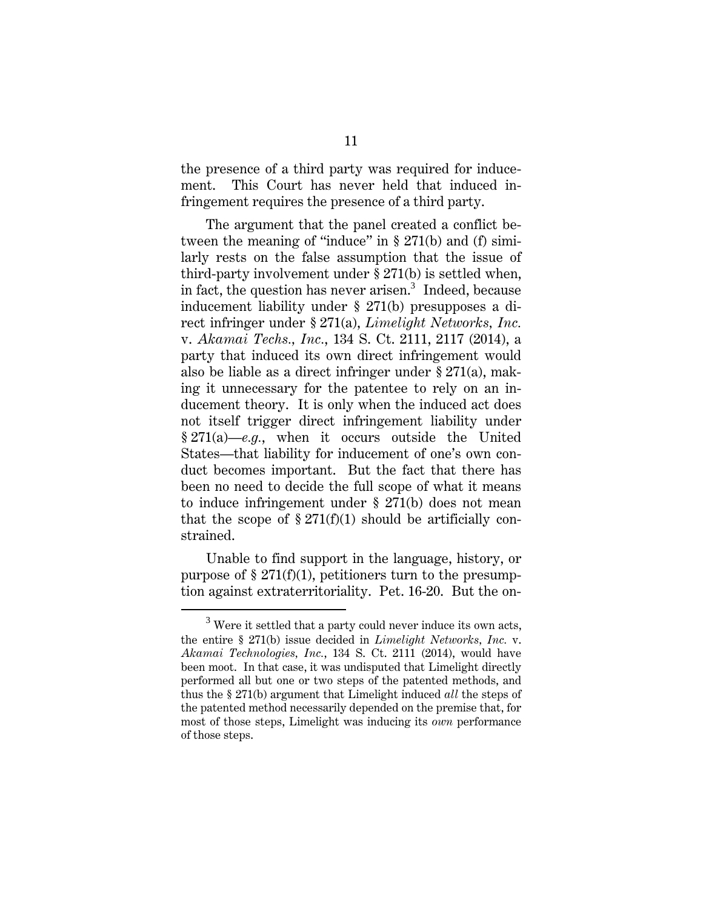the presence of a third party was required for inducement. This Court has never held that induced infringement requires the presence of a third party.

The argument that the panel created a conflict between the meaning of "induce" in § 271(b) and (f) similarly rests on the false assumption that the issue of third-party involvement under § 271(b) is settled when, in fact, the question has never arisen.<sup>3</sup> Indeed, because inducement liability under § 271(b) presupposes a direct infringer under § 271(a), *Limelight Networks, Inc.* v. *Akamai Techs., Inc.*, 134 S. Ct. 2111, 2117 (2014), a party that induced its own direct infringement would also be liable as a direct infringer under § 271(a), making it unnecessary for the patentee to rely on an inducement theory. It is only when the induced act does not itself trigger direct infringement liability under § 271(a)—*e.g.*, when it occurs outside the United States—that liability for inducement of one's own conduct becomes important. But the fact that there has been no need to decide the full scope of what it means to induce infringement under § 271(b) does not mean that the scope of  $\S 271(f)(1)$  should be artificially constrained.

Unable to find support in the language, history, or purpose of  $\S 271(f)(1)$ , petitioners turn to the presumption against extraterritoriality. Pet. 16-20. But the on-

<sup>3</sup>  $3$  Were it settled that a party could never induce its own acts, the entire § 271(b) issue decided in *Limelight Networks, Inc.* v. *Akamai Technologies, Inc.*, 134 S. Ct. 2111 (2014), would have been moot. In that case, it was undisputed that Limelight directly performed all but one or two steps of the patented methods, and thus the § 271(b) argument that Limelight induced *all* the steps of the patented method necessarily depended on the premise that, for most of those steps, Limelight was inducing its *own* performance of those steps.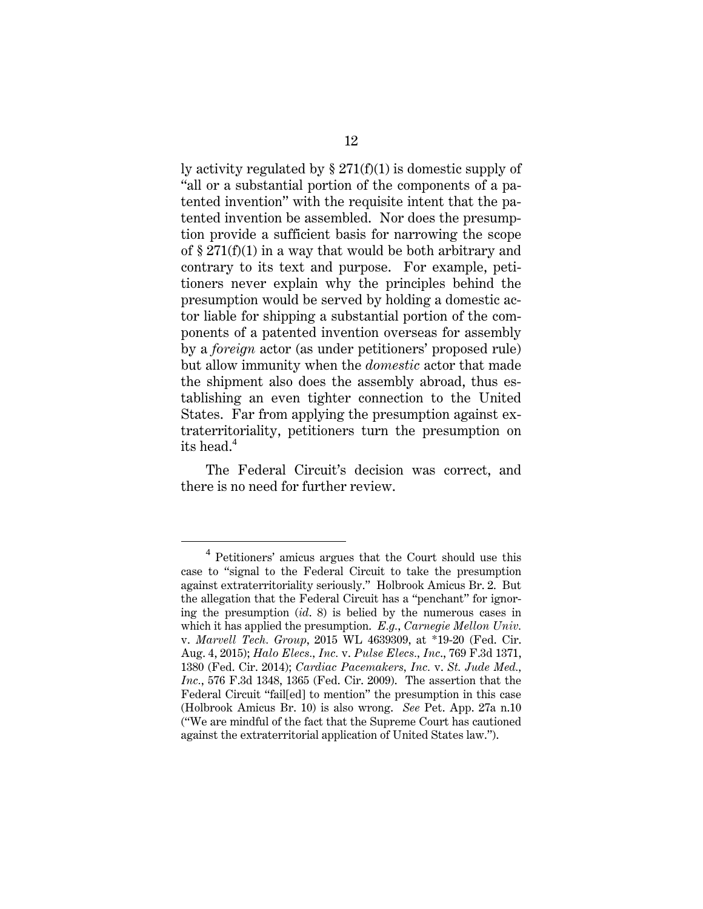ly activity regulated by § 271(f)(1) is domestic supply of "all or a substantial portion of the components of a patented invention" with the requisite intent that the patented invention be assembled. Nor does the presumption provide a sufficient basis for narrowing the scope of § 271(f)(1) in a way that would be both arbitrary and contrary to its text and purpose. For example, petitioners never explain why the principles behind the presumption would be served by holding a domestic actor liable for shipping a substantial portion of the components of a patented invention overseas for assembly by a *foreign* actor (as under petitioners' proposed rule) but allow immunity when the *domestic* actor that made the shipment also does the assembly abroad, thus establishing an even tighter connection to the United States. Far from applying the presumption against extraterritoriality, petitioners turn the presumption on its head.<sup>4</sup>

The Federal Circuit's decision was correct, and there is no need for further review.

 $\overline{4}$ <sup>4</sup> Petitioners' amicus argues that the Court should use this case to "signal to the Federal Circuit to take the presumption against extraterritoriality seriously." Holbrook Amicus Br. 2. But the allegation that the Federal Circuit has a "penchant" for ignoring the presumption (*id*. 8) is belied by the numerous cases in which it has applied the presumption. *E.g.*, *Carnegie Mellon Univ.*  v. *Marvell Tech. Group*, 2015 WL 4639309, at \*19-20 (Fed. Cir. Aug. 4, 2015); *Halo Elecs., Inc.* v. *Pulse Elecs., Inc*., 769 F.3d 1371, 1380 (Fed. Cir. 2014); *Cardiac Pacemakers, Inc.* v. *St. Jude Med., Inc.*, 576 F.3d 1348, 1365 (Fed. Cir. 2009). The assertion that the Federal Circuit "fail[ed] to mention" the presumption in this case (Holbrook Amicus Br. 10) is also wrong. *See* Pet. App. 27a n.10 ("We are mindful of the fact that the Supreme Court has cautioned against the extraterritorial application of United States law.").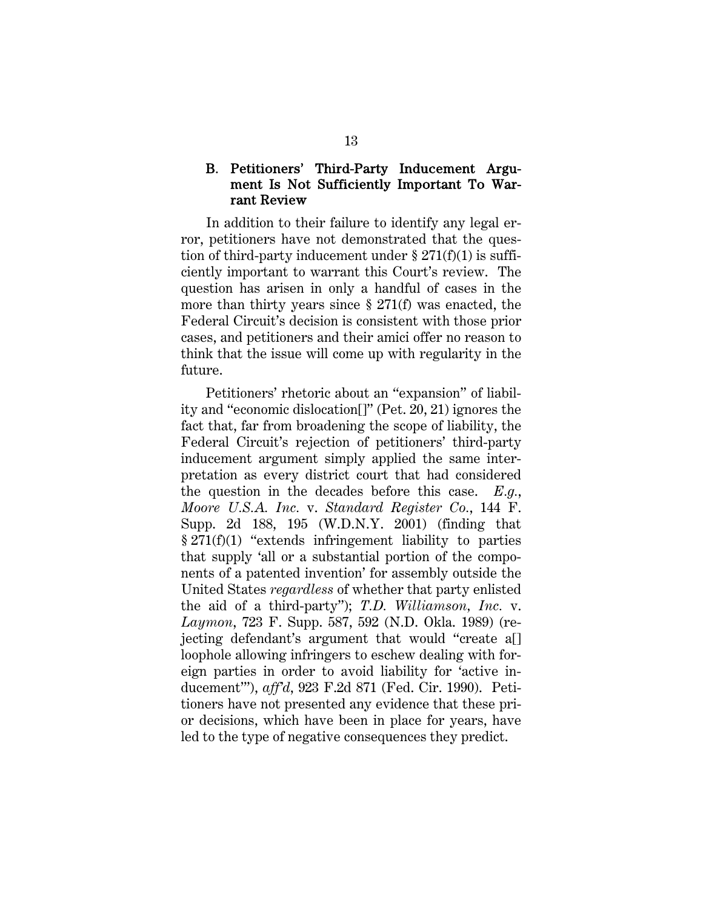#### B. Petitioners' Third-Party Inducement Argument Is Not Sufficiently Important To Warrant Review

In addition to their failure to identify any legal error, petitioners have not demonstrated that the question of third-party inducement under  $\S 271(f)(1)$  is sufficiently important to warrant this Court's review. The question has arisen in only a handful of cases in the more than thirty years since § 271(f) was enacted, the Federal Circuit's decision is consistent with those prior cases, and petitioners and their amici offer no reason to think that the issue will come up with regularity in the future.

Petitioners' rhetoric about an "expansion" of liability and "economic dislocation[]" (Pet. 20, 21) ignores the fact that, far from broadening the scope of liability, the Federal Circuit's rejection of petitioners' third-party inducement argument simply applied the same interpretation as every district court that had considered the question in the decades before this case. *E.g.*, *Moore U.S.A. Inc.* v. *Standard Register Co.*, 144 F. Supp. 2d 188, 195 (W.D.N.Y. 2001) (finding that § 271(f)(1) "extends infringement liability to parties that supply 'all or a substantial portion of the components of a patented invention' for assembly outside the United States *regardless* of whether that party enlisted the aid of a third-party"); *T.D. Williamson, Inc.* v. *Laymon*, 723 F. Supp. 587, 592 (N.D. Okla. 1989) (rejecting defendant's argument that would "create a[] loophole allowing infringers to eschew dealing with foreign parties in order to avoid liability for 'active inducement'"), *aff'd*, 923 F.2d 871 (Fed. Cir. 1990). Petitioners have not presented any evidence that these prior decisions, which have been in place for years, have led to the type of negative consequences they predict.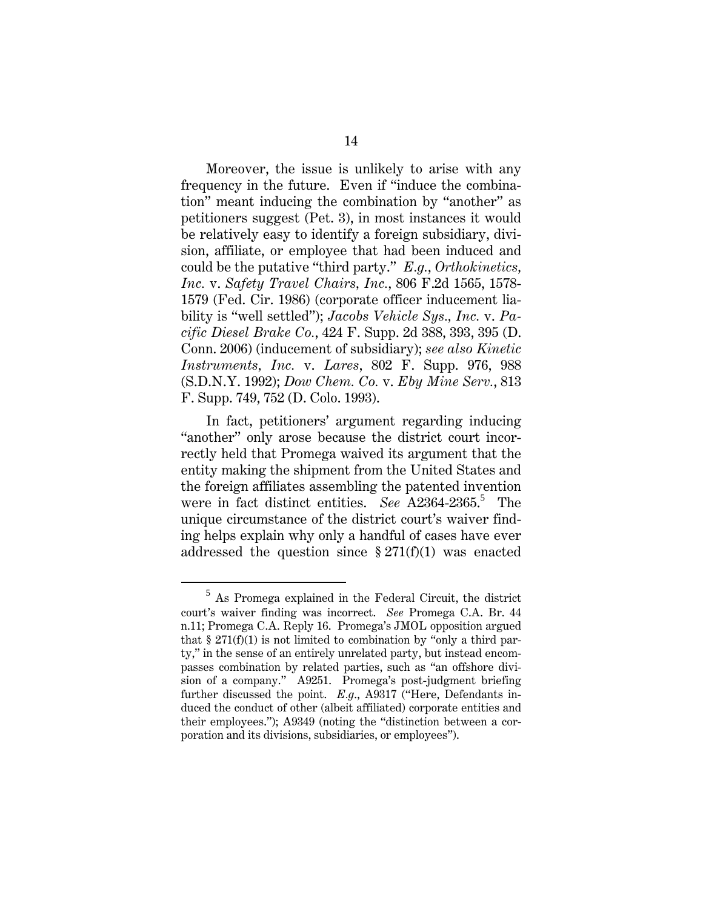Moreover, the issue is unlikely to arise with any frequency in the future. Even if "induce the combination" meant inducing the combination by "another" as petitioners suggest (Pet. 3), in most instances it would be relatively easy to identify a foreign subsidiary, division, affiliate, or employee that had been induced and could be the putative "third party." *E.g.*, *Orthokinetics, Inc.* v. *Safety Travel Chairs, Inc.*, 806 F.2d 1565, 1578- 1579 (Fed. Cir. 1986) (corporate officer inducement liability is "well settled"); *Jacobs Vehicle Sys., Inc.* v. *Pacific Diesel Brake Co.*, 424 F. Supp. 2d 388, 393, 395 (D. Conn. 2006) (inducement of subsidiary); *see also Kinetic Instruments, Inc.* v. *Lares*, 802 F. Supp. 976, 988 (S.D.N.Y. 1992); *Dow Chem. Co.* v. *Eby Mine Serv.*, 813 F. Supp. 749, 752 (D. Colo. 1993).

In fact, petitioners' argument regarding inducing "another" only arose because the district court incorrectly held that Promega waived its argument that the entity making the shipment from the United States and the foreign affiliates assembling the patented invention were in fact distinct entities. See A2364-2365.<sup>5</sup> The unique circumstance of the district court's waiver finding helps explain why only a handful of cases have ever addressed the question since  $\S 271(f)(1)$  was enacted

 $\frac{1}{5}$  $5$  As Promega explained in the Federal Circuit, the district court's waiver finding was incorrect. *See* Promega C.A. Br. 44 n.11; Promega C.A. Reply 16. Promega's JMOL opposition argued that  $\S 271(f)(1)$  is not limited to combination by "only a third party," in the sense of an entirely unrelated party, but instead encompasses combination by related parties, such as "an offshore division of a company." A9251. Promega's post-judgment briefing further discussed the point. *E.g*., A9317 ("Here, Defendants induced the conduct of other (albeit affiliated) corporate entities and their employees."); A9349 (noting the "distinction between a corporation and its divisions, subsidiaries, or employees").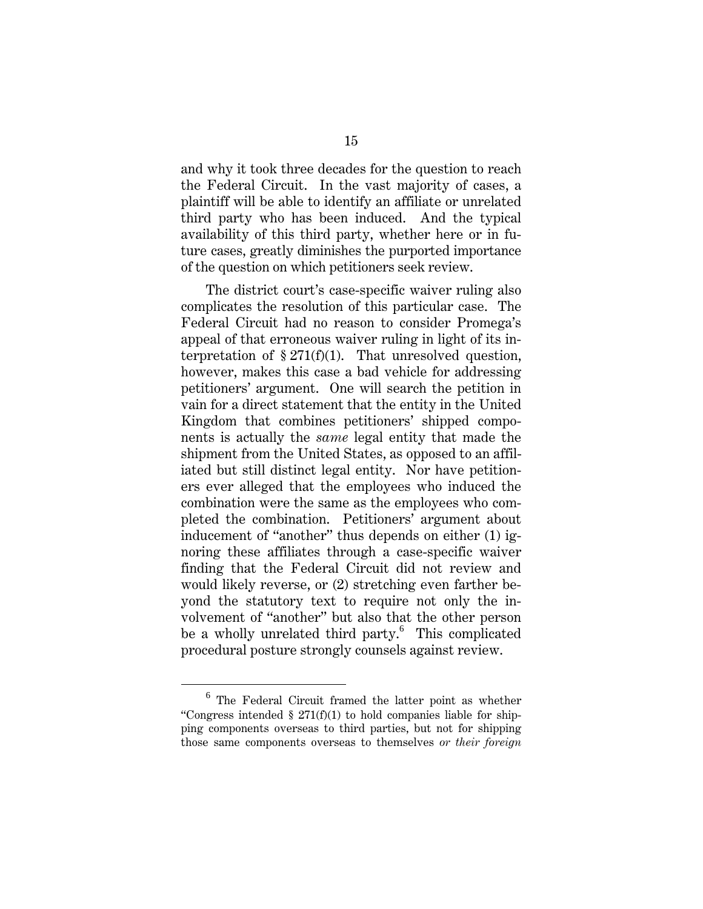and why it took three decades for the question to reach the Federal Circuit. In the vast majority of cases, a plaintiff will be able to identify an affiliate or unrelated third party who has been induced. And the typical availability of this third party, whether here or in future cases, greatly diminishes the purported importance of the question on which petitioners seek review.

The district court's case-specific waiver ruling also complicates the resolution of this particular case. The Federal Circuit had no reason to consider Promega's appeal of that erroneous waiver ruling in light of its interpretation of  $\S 271(f)(1)$ . That unresolved question, however, makes this case a bad vehicle for addressing petitioners' argument. One will search the petition in vain for a direct statement that the entity in the United Kingdom that combines petitioners' shipped components is actually the *same* legal entity that made the shipment from the United States, as opposed to an affiliated but still distinct legal entity. Nor have petitioners ever alleged that the employees who induced the combination were the same as the employees who completed the combination. Petitioners' argument about inducement of "another" thus depends on either (1) ignoring these affiliates through a case-specific waiver finding that the Federal Circuit did not review and would likely reverse, or (2) stretching even farther beyond the statutory text to require not only the involvement of "another" but also that the other person be a wholly unrelated third party.<sup>6</sup> This complicated procedural posture strongly counsels against review.

<sup>6</sup>  $6$  The Federal Circuit framed the latter point as whether "Congress intended  $\S 271(f)(1)$  to hold companies liable for shipping components overseas to third parties, but not for shipping those same components overseas to themselves *or their foreign*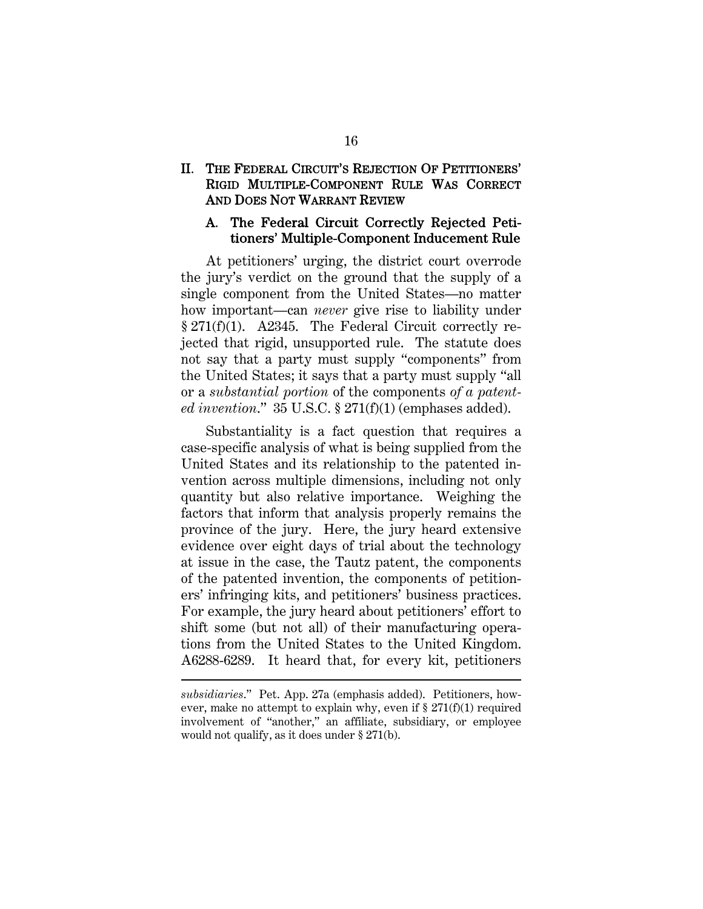#### II. THE FEDERAL CIRCUIT'S REJECTION OF PETITIONERS' RIGID MULTIPLE-COMPONENT RULE WAS CORRECT AND DOES NOT WARRANT REVIEW

#### A. The Federal Circuit Correctly Rejected Petitioners' Multiple-Component Inducement Rule

At petitioners' urging, the district court overrode the jury's verdict on the ground that the supply of a single component from the United States—no matter how important—can *never* give rise to liability under § 271(f)(1). A2345. The Federal Circuit correctly rejected that rigid, unsupported rule. The statute does not say that a party must supply "components" from the United States; it says that a party must supply "all or a *substantial portion* of the components *of a patented invention*." 35 U.S.C. § 271(f)(1) (emphases added).

Substantiality is a fact question that requires a case-specific analysis of what is being supplied from the United States and its relationship to the patented invention across multiple dimensions, including not only quantity but also relative importance. Weighing the factors that inform that analysis properly remains the province of the jury. Here, the jury heard extensive evidence over eight days of trial about the technology at issue in the case, the Tautz patent, the components of the patented invention, the components of petitioners' infringing kits, and petitioners' business practices. For example, the jury heard about petitioners' effort to shift some (but not all) of their manufacturing operations from the United States to the United Kingdom. A6288-6289. It heard that, for every kit, petitioners

 $\overline{a}$ 

*subsidiaries*." Pet. App. 27a (emphasis added). Petitioners, however, make no attempt to explain why, even if  $\S 271(f)(1)$  required involvement of "another," an affiliate, subsidiary, or employee would not qualify, as it does under § 271(b).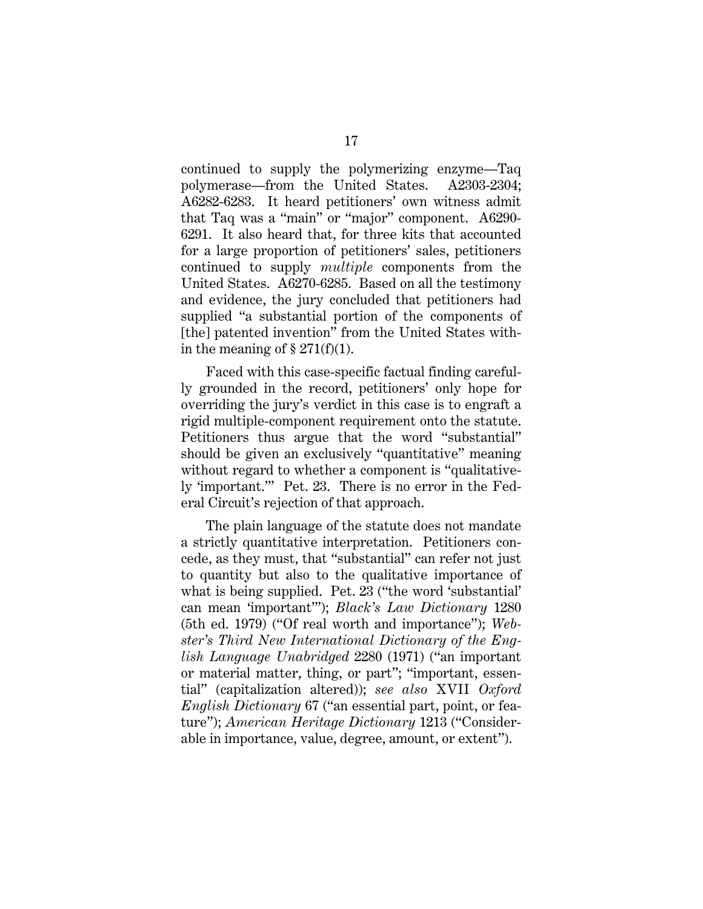continued to supply the polymerizing enzyme—Taq polymerase—from the United States. A2303-2304; A6282-6283. It heard petitioners' own witness admit that Taq was a "main" or "major" component. A6290- 6291. It also heard that, for three kits that accounted for a large proportion of petitioners' sales, petitioners continued to supply *multiple* components from the United States. A6270-6285. Based on all the testimony and evidence, the jury concluded that petitioners had supplied "a substantial portion of the components of [the] patented invention" from the United States within the meaning of  $\S 271(f)(1)$ .

Faced with this case-specific factual finding carefully grounded in the record, petitioners' only hope for overriding the jury's verdict in this case is to engraft a rigid multiple-component requirement onto the statute. Petitioners thus argue that the word "substantial" should be given an exclusively "quantitative" meaning without regard to whether a component is "qualitatively 'important.'" Pet. 23. There is no error in the Federal Circuit's rejection of that approach.

The plain language of the statute does not mandate a strictly quantitative interpretation. Petitioners concede, as they must, that "substantial" can refer not just to quantity but also to the qualitative importance of what is being supplied. Pet. 23 ("the word 'substantial' can mean 'important'"); *Black's Law Dictionary* 1280 (5th ed. 1979) ("Of real worth and importance"); *Webster's Third New International Dictionary of the English Language Unabridged* 2280 (1971) ("an important or material matter, thing, or part"; "important, essential" (capitalization altered)); *see also* XVII *Oxford English Dictionary* 67 ("an essential part, point, or feature"); *American Heritage Dictionary* 1213 ("Considerable in importance, value, degree, amount, or extent").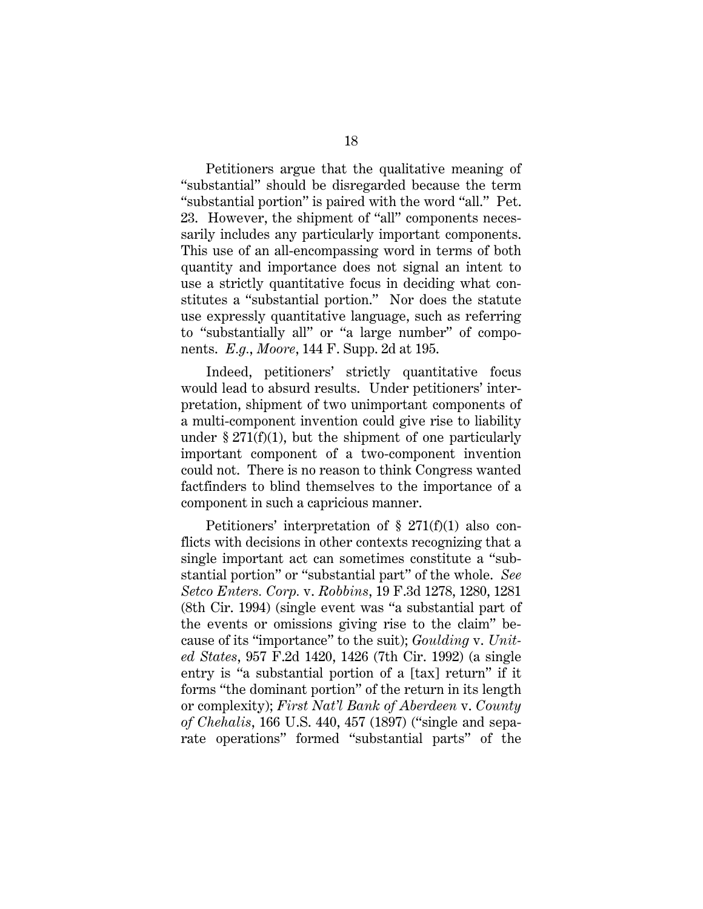Petitioners argue that the qualitative meaning of "substantial" should be disregarded because the term "substantial portion" is paired with the word "all." Pet. 23. However, the shipment of "all" components necessarily includes any particularly important components. This use of an all-encompassing word in terms of both quantity and importance does not signal an intent to use a strictly quantitative focus in deciding what constitutes a "substantial portion." Nor does the statute use expressly quantitative language, such as referring to "substantially all" or "a large number" of components. *E.g.*, *Moore*, 144 F. Supp. 2d at 195.

Indeed, petitioners' strictly quantitative focus would lead to absurd results. Under petitioners' interpretation, shipment of two unimportant components of a multi-component invention could give rise to liability under  $\S 271(f)(1)$ , but the shipment of one particularly important component of a two-component invention could not. There is no reason to think Congress wanted factfinders to blind themselves to the importance of a component in such a capricious manner.

Petitioners' interpretation of § 271(f)(1) also conflicts with decisions in other contexts recognizing that a single important act can sometimes constitute a "substantial portion" or "substantial part" of the whole. *See Setco Enters. Corp.* v. *Robbins*, 19 F.3d 1278, 1280, 1281 (8th Cir. 1994) (single event was "a substantial part of the events or omissions giving rise to the claim" because of its "importance" to the suit); *Goulding* v. *United States*, 957 F.2d 1420, 1426 (7th Cir. 1992) (a single entry is "a substantial portion of a [tax] return" if it forms "the dominant portion" of the return in its length or complexity); *First Nat'l Bank of Aberdeen* v. *County of Chehalis*, 166 U.S. 440, 457 (1897) ("single and separate operations" formed "substantial parts" of the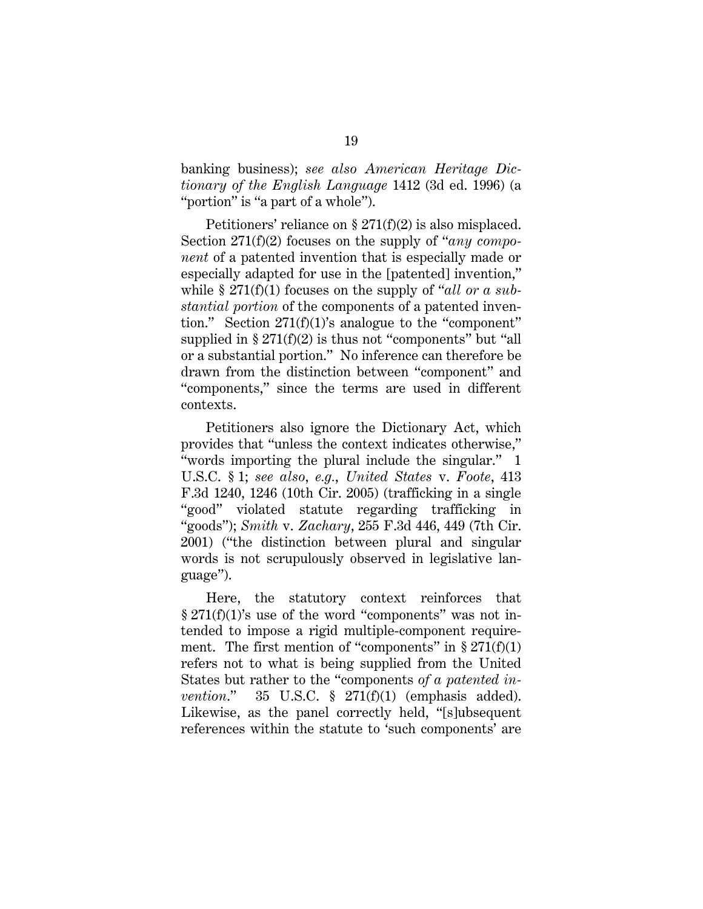banking business); *see also American Heritage Dictionary of the English Language* 1412 (3d ed. 1996) (a "portion" is "a part of a whole").

Petitioners' reliance on § 271(f)(2) is also misplaced. Section 271(f)(2) focuses on the supply of "*any component* of a patented invention that is especially made or especially adapted for use in the [patented] invention," while § 271(f)(1) focuses on the supply of "*all or a substantial portion* of the components of a patented invention." Section 271(f)(1)'s analogue to the "component" supplied in  $\S 271(f)(2)$  is thus not "components" but "all or a substantial portion." No inference can therefore be drawn from the distinction between "component" and "components," since the terms are used in different contexts.

Petitioners also ignore the Dictionary Act, which provides that "unless the context indicates otherwise," "words importing the plural include the singular." 1 U.S.C. § 1; *see also*, *e.g.*, *United States* v. *Foote*, 413 F.3d 1240, 1246 (10th Cir. 2005) (trafficking in a single "good" violated statute regarding trafficking in "goods"); *Smith* v. *Zachary*, 255 F.3d 446, 449 (7th Cir. 2001) ("the distinction between plural and singular words is not scrupulously observed in legislative language").

Here, the statutory context reinforces that § 271(f)(1)'s use of the word "components" was not intended to impose a rigid multiple-component requirement. The first mention of "components" in  $\S 271(f)(1)$ refers not to what is being supplied from the United States but rather to the "components *of a patented invention*." 35 U.S.C. § 271(f)(1) (emphasis added). Likewise, as the panel correctly held, "[s]ubsequent references within the statute to 'such components' are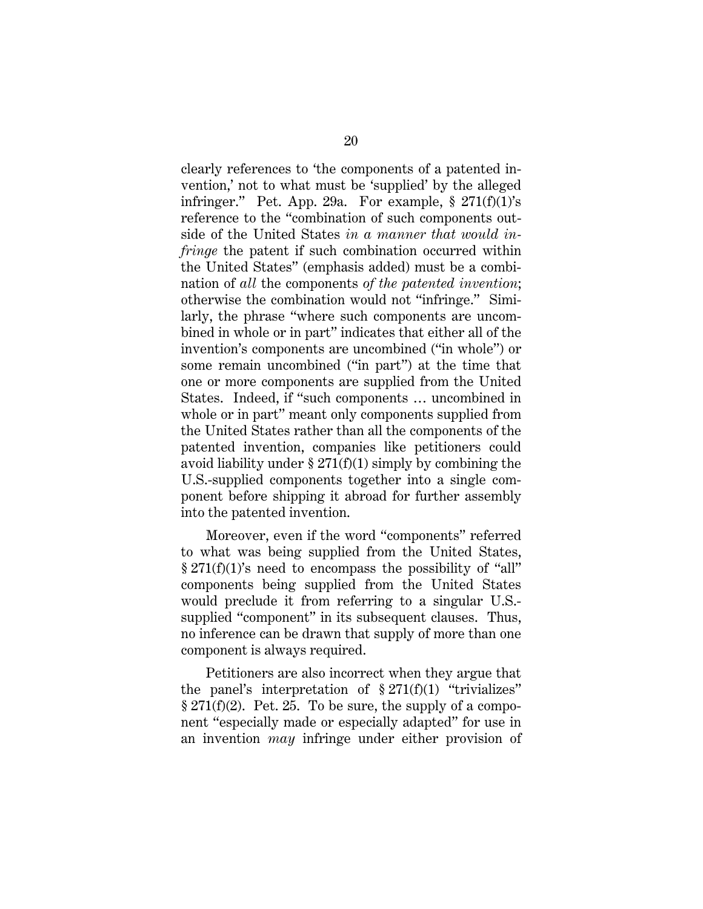clearly references to 'the components of a patented invention,' not to what must be 'supplied' by the alleged infringer." Pet. App. 29a. For example,  $\S 271(f)(1)$ 's reference to the "combination of such components outside of the United States *in a manner that would infringe* the patent if such combination occurred within the United States" (emphasis added) must be a combination of *all* the components *of the patented invention*; otherwise the combination would not "infringe." Similarly, the phrase "where such components are uncombined in whole or in part" indicates that either all of the invention's components are uncombined ("in whole") or some remain uncombined ("in part") at the time that one or more components are supplied from the United States. Indeed, if "such components … uncombined in whole or in part" meant only components supplied from the United States rather than all the components of the patented invention, companies like petitioners could avoid liability under  $\S 271(f)(1)$  simply by combining the U.S.-supplied components together into a single component before shipping it abroad for further assembly into the patented invention.

Moreover, even if the word "components" referred to what was being supplied from the United States,  $\S 271(f)(1)$ 's need to encompass the possibility of "all" components being supplied from the United States would preclude it from referring to a singular U.S. supplied "component" in its subsequent clauses. Thus, no inference can be drawn that supply of more than one component is always required.

Petitioners are also incorrect when they argue that the panel's interpretation of  $\S 271(f)(1)$  "trivializes"  $\S 271(f)(2)$ . Pet. 25. To be sure, the supply of a component "especially made or especially adapted" for use in an invention *may* infringe under either provision of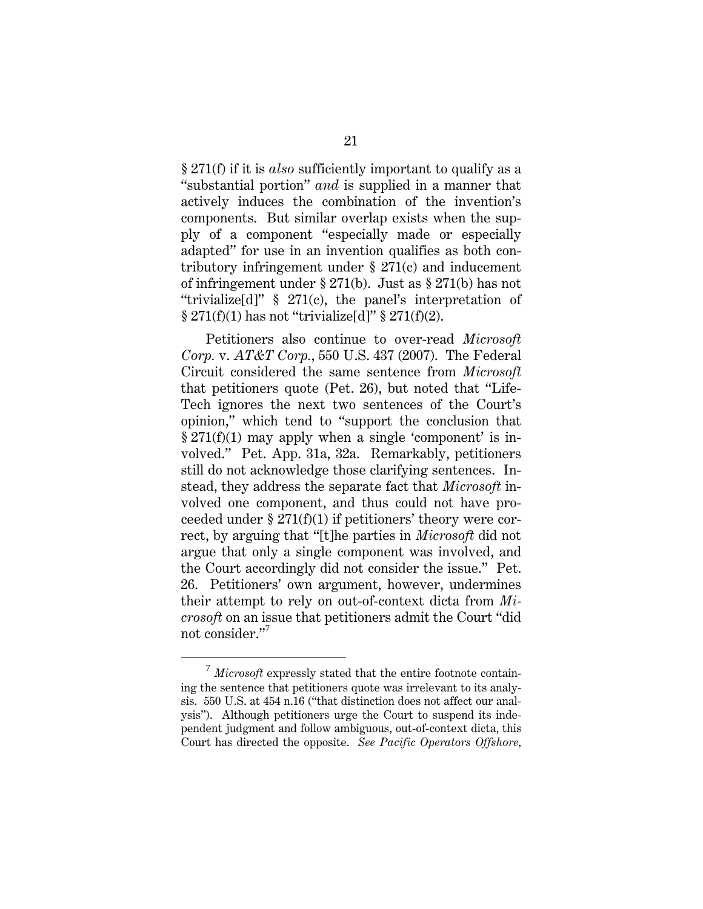§ 271(f) if it is *also* sufficiently important to qualify as a "substantial portion" *and* is supplied in a manner that actively induces the combination of the invention's components. But similar overlap exists when the supply of a component "especially made or especially adapted" for use in an invention qualifies as both contributory infringement under § 271(c) and inducement of infringement under § 271(b). Just as § 271(b) has not "trivialize[d]" § 271(c), the panel's interpretation of  $\S 271(f)(1)$  has not "trivialize[d]"  $\S 271(f)(2)$ .

Petitioners also continue to over-read *Microsoft Corp.* v. *AT&T Corp.*, 550 U.S. 437 (2007). The Federal Circuit considered the same sentence from *Microsoft* that petitioners quote (Pet. 26), but noted that "Life-Tech ignores the next two sentences of the Court's opinion," which tend to "support the conclusion that  $\S 271(f)(1)$  may apply when a single 'component' is involved." Pet. App. 31a, 32a. Remarkably, petitioners still do not acknowledge those clarifying sentences. Instead, they address the separate fact that *Microsoft* involved one component, and thus could not have proceeded under § 271(f)(1) if petitioners' theory were correct, by arguing that "[t]he parties in *Microsoft* did not argue that only a single component was involved, and the Court accordingly did not consider the issue." Pet. 26. Petitioners' own argument, however, undermines their attempt to rely on out-of-context dicta from *Microsoft* on an issue that petitioners admit the Court "did not consider."<sup>7</sup>

<sup>7</sup> *Microsoft* expressly stated that the entire footnote containing the sentence that petitioners quote was irrelevant to its analysis. 550 U.S. at 454 n.16 ("that distinction does not affect our analysis"). Although petitioners urge the Court to suspend its independent judgment and follow ambiguous, out-of-context dicta, this Court has directed the opposite. *See Pacific Operators Offshore,*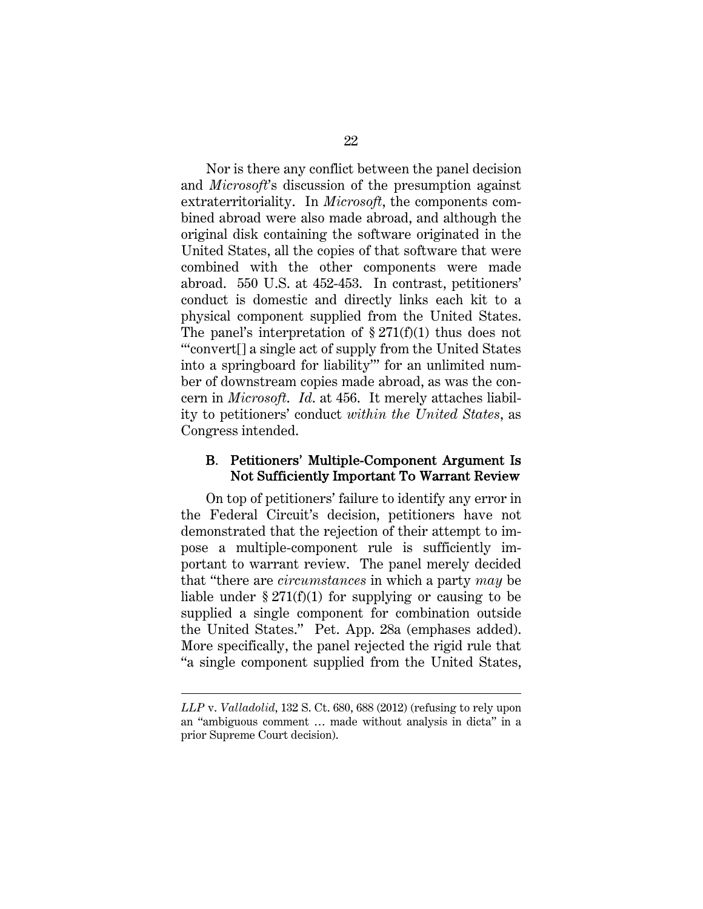Nor is there any conflict between the panel decision and *Microsoft*'s discussion of the presumption against extraterritoriality. In *Microsoft*, the components combined abroad were also made abroad, and although the original disk containing the software originated in the United States, all the copies of that software that were combined with the other components were made abroad. 550 U.S. at 452-453. In contrast, petitioners' conduct is domestic and directly links each kit to a physical component supplied from the United States. The panel's interpretation of  $\S 271(f)(1)$  thus does not "'convert[] a single act of supply from the United States into a springboard for liability'" for an unlimited number of downstream copies made abroad, as was the concern in *Microsoft*. *Id*. at 456. It merely attaches liability to petitioners' conduct *within the United States*, as Congress intended.

#### B. Petitioners' Multiple-Component Argument Is Not Sufficiently Important To Warrant Review

On top of petitioners' failure to identify any error in the Federal Circuit's decision, petitioners have not demonstrated that the rejection of their attempt to impose a multiple-component rule is sufficiently important to warrant review. The panel merely decided that "there are *circumstances* in which a party *may* be liable under  $\S 271(f)(1)$  for supplying or causing to be supplied a single component for combination outside the United States." Pet. App. 28a (emphases added). More specifically, the panel rejected the rigid rule that "a single component supplied from the United States,

l

*LLP* v. *Valladolid*, 132 S. Ct. 680, 688 (2012) (refusing to rely upon an "ambiguous comment … made without analysis in dicta" in a prior Supreme Court decision).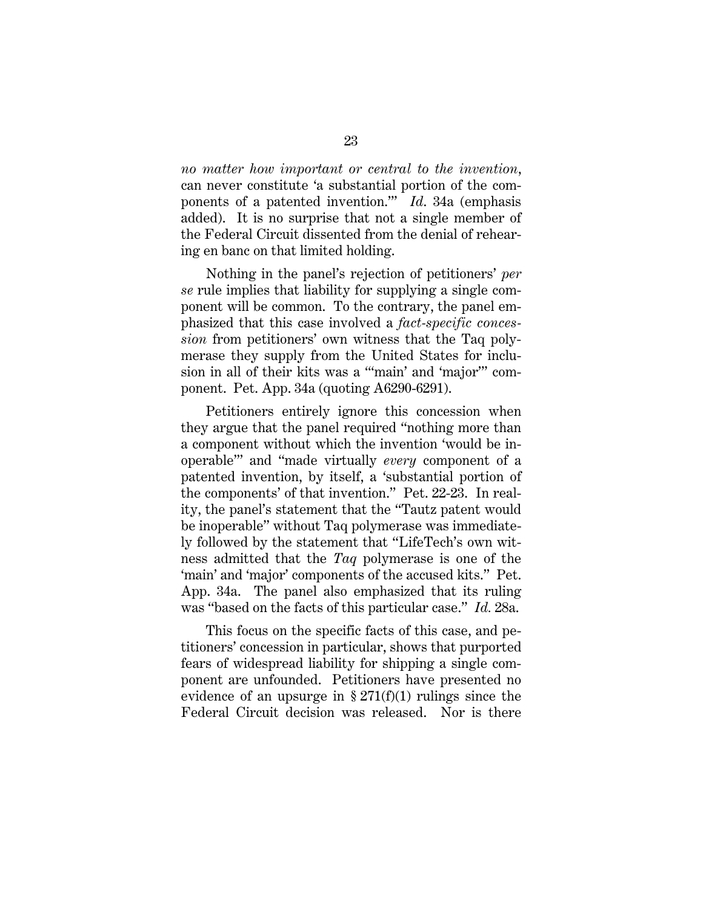*no matter how important or central to the invention*, can never constitute 'a substantial portion of the components of a patented invention.'" *Id*. 34a (emphasis added). It is no surprise that not a single member of the Federal Circuit dissented from the denial of rehearing en banc on that limited holding.

Nothing in the panel's rejection of petitioners' *per se* rule implies that liability for supplying a single component will be common. To the contrary, the panel emphasized that this case involved a *fact-specific concession* from petitioners' own witness that the Taq polymerase they supply from the United States for inclusion in all of their kits was a "'main' and 'major'" component. Pet. App. 34a (quoting A6290-6291).

Petitioners entirely ignore this concession when they argue that the panel required "nothing more than a component without which the invention 'would be inoperable'" and "made virtually *every* component of a patented invention, by itself, a 'substantial portion of the components' of that invention." Pet. 22-23. In reality, the panel's statement that the "Tautz patent would be inoperable" without Taq polymerase was immediately followed by the statement that "LifeTech's own witness admitted that the *Taq* polymerase is one of the 'main' and 'major' components of the accused kits." Pet. App. 34a. The panel also emphasized that its ruling was "based on the facts of this particular case." *Id.* 28a.

This focus on the specific facts of this case, and petitioners' concession in particular, shows that purported fears of widespread liability for shipping a single component are unfounded. Petitioners have presented no evidence of an upsurge in  $\S 271(f)(1)$  rulings since the Federal Circuit decision was released. Nor is there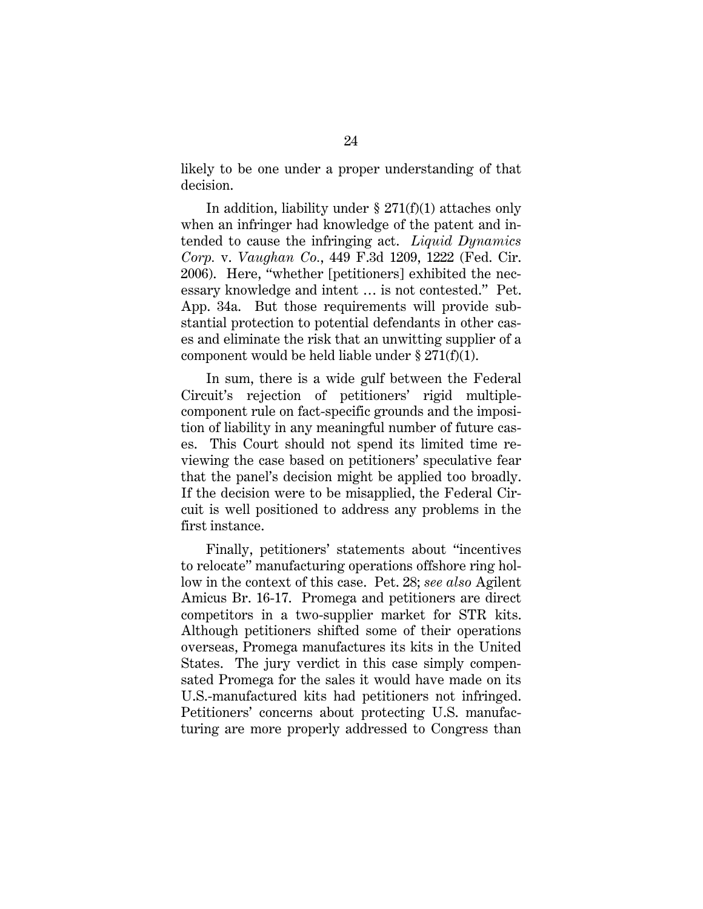likely to be one under a proper understanding of that decision.

In addition, liability under  $\S 271(f)(1)$  attaches only when an infringer had knowledge of the patent and intended to cause the infringing act. *Liquid Dynamics Corp.* v. *Vaughan Co.*, 449 F.3d 1209, 1222 (Fed. Cir. 2006). Here, "whether [petitioners] exhibited the necessary knowledge and intent … is not contested." Pet. App. 34a. But those requirements will provide substantial protection to potential defendants in other cases and eliminate the risk that an unwitting supplier of a component would be held liable under  $\S 271(f)(1)$ .

In sum, there is a wide gulf between the Federal Circuit's rejection of petitioners' rigid multiplecomponent rule on fact-specific grounds and the imposition of liability in any meaningful number of future cases. This Court should not spend its limited time reviewing the case based on petitioners' speculative fear that the panel's decision might be applied too broadly. If the decision were to be misapplied, the Federal Circuit is well positioned to address any problems in the first instance.

Finally, petitioners' statements about "incentives to relocate" manufacturing operations offshore ring hollow in the context of this case. Pet. 28; *see also* Agilent Amicus Br. 16-17. Promega and petitioners are direct competitors in a two-supplier market for STR kits. Although petitioners shifted some of their operations overseas, Promega manufactures its kits in the United States. The jury verdict in this case simply compensated Promega for the sales it would have made on its U.S.-manufactured kits had petitioners not infringed. Petitioners' concerns about protecting U.S. manufacturing are more properly addressed to Congress than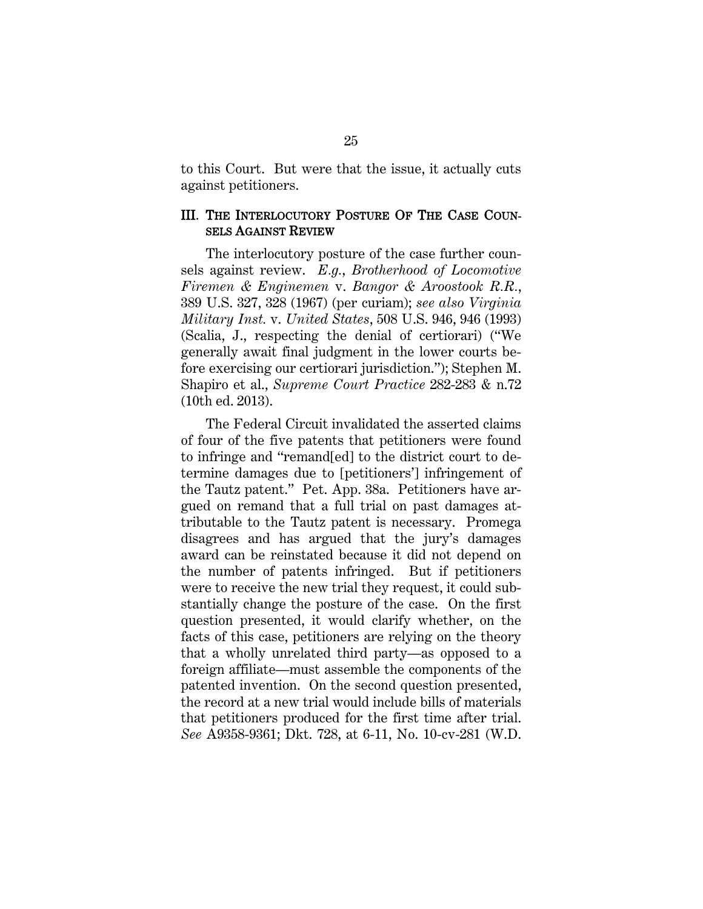to this Court. But were that the issue, it actually cuts against petitioners.

#### III. THE INTERLOCUTORY POSTURE OF THE CASE COUN-SELS AGAINST REVIEW

The interlocutory posture of the case further counsels against review. *E.g.*, *Brotherhood of Locomotive Firemen & Enginemen* v. *Bangor & Aroostook R.R.*, 389 U.S. 327, 328 (1967) (per curiam); *see also Virginia Military Inst.* v. *United States*, 508 U.S. 946, 946 (1993) (Scalia, J., respecting the denial of certiorari) ("We generally await final judgment in the lower courts before exercising our certiorari jurisdiction."); Stephen M. Shapiro et al., *Supreme Court Practice* 282-283 & n.72 (10th ed. 2013).

The Federal Circuit invalidated the asserted claims of four of the five patents that petitioners were found to infringe and "remand[ed] to the district court to determine damages due to [petitioners'] infringement of the Tautz patent." Pet. App. 38a. Petitioners have argued on remand that a full trial on past damages attributable to the Tautz patent is necessary. Promega disagrees and has argued that the jury's damages award can be reinstated because it did not depend on the number of patents infringed. But if petitioners were to receive the new trial they request, it could substantially change the posture of the case. On the first question presented, it would clarify whether, on the facts of this case, petitioners are relying on the theory that a wholly unrelated third party—as opposed to a foreign affiliate—must assemble the components of the patented invention. On the second question presented, the record at a new trial would include bills of materials that petitioners produced for the first time after trial. *See* A9358-9361; Dkt. 728, at 6-11, No. 10-cv-281 (W.D.